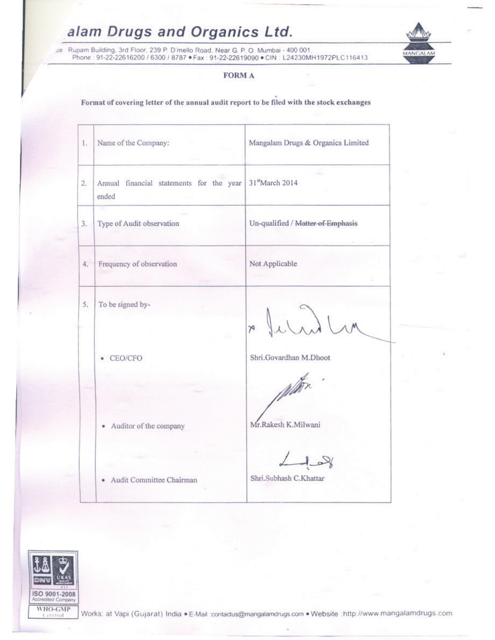# alam Drugs and Organics Ltd.

ce : Rupam Building, 3rd Floor, 239 P. D'mello Road, Near G. P. O. Mumbai - 400 001.<br>Phone : 91-22-22616200 / 6300 / 8787 · Fax : 91-22-22619090 · CIN : L24230MH1972PLC116413



## **FORM A**

## Format of covering letter of the annual audit report to be filed with the stock exchanges

| 1.1 | Name of the Company:                                                          | Mangalam Drugs & Organics Limited       |
|-----|-------------------------------------------------------------------------------|-----------------------------------------|
| 2.  | Annual financial statements for the year 31 <sup>st</sup> March 2014<br>ended |                                         |
| 3.  | Type of Audit observation                                                     | Un-qualified / Matter of Emphasis       |
| 4.  | Frequency of observation                                                      | Not Applicable                          |
| 5.  | To be signed by-                                                              | x Juril                                 |
|     | • CEO/CFO                                                                     | Shri.Govardhan M.Dhoot<br>MAT           |
|     | • Auditor of the company                                                      | Mr.Rakesh K.Milwani                     |
|     | Audit Committee Chairman                                                      | $L_{\rm obs}$<br>Shri.Subhash C.Khattar |

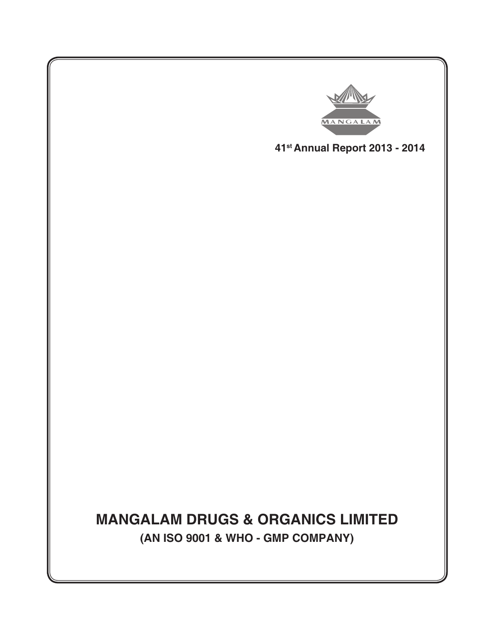

**41st Annual Report 2013 - 2014**

# **MANGALAM DRUGS & ORGANICS LIMITED (AN ISO 9001 & WHO - GMP COMPANY)**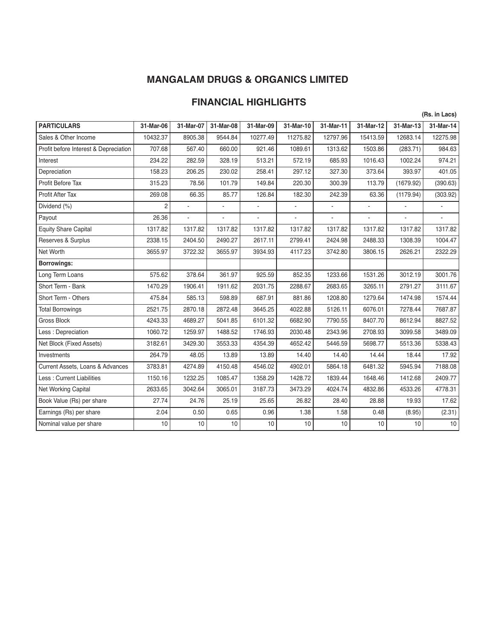# **MANGALAM DRUGS & ORGANICS LIMITED**

# **FINANCIAL HIGHLIGHTS**

|                                       |                |                |           |           |                          |           |           |           | (Rs. in Lacs) |
|---------------------------------------|----------------|----------------|-----------|-----------|--------------------------|-----------|-----------|-----------|---------------|
| <b>PARTICULARS</b>                    | 31-Mar-06      | 31-Mar-07      | 31-Mar-08 | 31-Mar-09 | 31-Mar-10                | 31-Mar-11 | 31-Mar-12 | 31-Mar-13 | 31-Mar-14     |
| Sales & Other Income                  | 10432.37       | 8905.38        | 9544.84   | 10277.49  | 11275.82                 | 12797.96  | 15413.59  | 12683.14  | 12275.98      |
| Profit before Interest & Depreciation | 707.68         | 567.40         | 660.00    | 921.46    | 1089.61                  | 1313.62   | 1503.86   | (283.71)  | 984.63        |
| Interest                              | 234.22         | 282.59         | 328.19    | 513.21    | 572.19                   | 685.93    | 1016.43   | 1002.24   | 974.21        |
| Depreciation                          | 158.23         | 206.25         | 230.02    | 258.41    | 297.12                   | 327.30    | 373.64    | 393.97    | 401.05        |
| Profit Before Tax                     | 315.23         | 78.56          | 101.79    | 149.84    | 220.30                   | 300.39    | 113.79    | (1679.92) | (390.63)      |
| <b>Profit After Tax</b>               | 269.08         | 66.35          | 85.77     | 126.84    | 182.30                   | 242.39    | 63.36     | (1179.94) | (303.92)      |
| Dividend (%)                          | $\overline{c}$ |                | ٠         | ÷,        | $\overline{\phantom{a}}$ | ÷,        | ÷,        |           |               |
| Payout                                | 26.36          | $\blacksquare$ | ä,        | ä,        | ÷,                       | ÷,        | ÷.        |           |               |
| <b>Equity Share Capital</b>           | 1317.82        | 1317.82        | 1317.82   | 1317.82   | 1317.82                  | 1317.82   | 1317.82   | 1317.82   | 1317.82       |
| Reserves & Surplus                    | 2338.15        | 2404.50        | 2490.27   | 2617.11   | 2799.41                  | 2424.98   | 2488.33   | 1308.39   | 1004.47       |
| Net Worth                             | 3655.97        | 3722.32        | 3655.97   | 3934.93   | 4117.23                  | 3742.80   | 3806.15   | 2626.21   | 2322.29       |
| <b>Borrowings:</b>                    |                |                |           |           |                          |           |           |           |               |
| Long Term Loans                       | 575.62         | 378.64         | 361.97    | 925.59    | 852.35                   | 1233.66   | 1531.26   | 3012.19   | 3001.76       |
| Short Term - Bank                     | 1470.29        | 1906.41        | 1911.62   | 2031.75   | 2288.67                  | 2683.65   | 3265.11   | 2791.27   | 3111.67       |
| Short Term - Others                   | 475.84         | 585.13         | 598.89    | 687.91    | 881.86                   | 1208.80   | 1279.64   | 1474.98   | 1574.44       |
| <b>Total Borrowings</b>               | 2521.75        | 2870.18        | 2872.48   | 3645.25   | 4022.88                  | 5126.11   | 6076.01   | 7278.44   | 7687.87       |
| <b>Gross Block</b>                    | 4243.33        | 4689.27        | 5041.85   | 6101.32   | 6682.90                  | 7790.55   | 8407.70   | 8612.94   | 8827.52       |
| Less : Depreciation                   | 1060.72        | 1259.97        | 1488.52   | 1746.93   | 2030.48                  | 2343.96   | 2708.93   | 3099.58   | 3489.09       |
| Net Block (Fixed Assets)              | 3182.61        | 3429.30        | 3553.33   | 4354.39   | 4652.42                  | 5446.59   | 5698.77   | 5513.36   | 5338.43       |
| Investments                           | 264.79         | 48.05          | 13.89     | 13.89     | 14.40                    | 14.40     | 14.44     | 18.44     | 17.92         |
| Current Assets, Loans & Advances      | 3783.81        | 4274.89        | 4150.48   | 4546.02   | 4902.01                  | 5864.18   | 6481.32   | 5945.94   | 7188.08       |
| Less: Current Liabilities             | 1150.16        | 1232.25        | 1085.47   | 1358.29   | 1428.72                  | 1839.44   | 1648.46   | 1412.68   | 2409.77       |
| <b>Net Working Capital</b>            | 2633.65        | 3042.64        | 3065.01   | 3187.73   | 3473.29                  | 4024.74   | 4832.86   | 4533.26   | 4778.31       |
| Book Value (Rs) per share             | 27.74          | 24.76          | 25.19     | 25.65     | 26.82                    | 28.40     | 28.88     | 19.93     | 17.62         |
| Earnings (Rs) per share               | 2.04           | 0.50           | 0.65      | 0.96      | 1.38                     | 1.58      | 0.48      | (8.95)    | (2.31)        |
| Nominal value per share               | 10             | 10             | 10        | 10        | 10                       | 10        | 10        | 10        | 10            |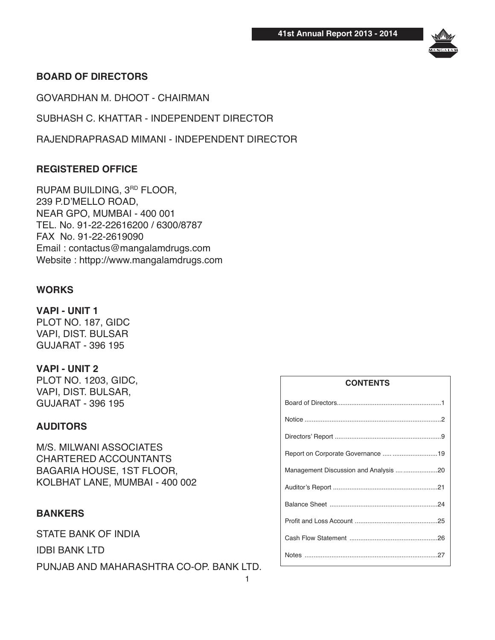

# **BOARD OF DIRECTORS**

GOVARDHAN M. DHOOT - CHAIRMAN

SUBHASH C. KHATTAR - INDEPENDENT DIRECTOR

RAJENDRAPRASAD MIMANI - INDEPENDENT DIRECTOR

# **REGISTERED OFFICE**

RUPAM BUILDING, 3RD FLOOR, 239 P.D'MELLO ROAD, NEAR GPO, MUMBAI - 400 001 TEL. No. 91-22-22616200 / 6300/8787 FAX No. 91-22-2619090 Email : contactus@mangalamdrugs.com Website : httpp://www.mangalamdrugs.com

# **WORKS**

**VAPI - UNIT 1** PLOT NO. 187, GIDC VAPI, DIST. BULSAR GUJARAT - 396 195

# **VAPI - UNIT 2** PLOT NO. 1203, GIDC, VAPI, DIST. BULSAR,

GUJARAT - 396 195

# **AUDITORS**

M/S. MILWANI ASSOCIATES CHARTERED ACCOUNTANTS BAGARIA HOUSE, 1ST FLOOR, KOLBHAT LANE, MUMBAI - 400 002

# **BANKERS**

STATE BANK OF INDIA

IDBI BANK LTD

PUNJAB AND MAHARASHTRA CO-OP. BANK LTD.

| <b>CONTENTS</b>                    |
|------------------------------------|
|                                    |
|                                    |
|                                    |
| Report on Corporate Governance  19 |
|                                    |
|                                    |
|                                    |
|                                    |
|                                    |
|                                    |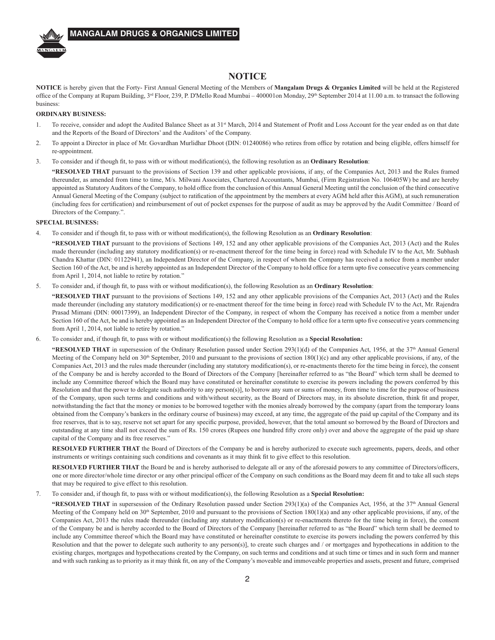

### **MANGALAM DRUGS & ORGANICS LIMITED**

### **NOTICE**

NOTICE is hereby given that the Forty- First Annual General Meeting of the Members of Mangalam Drugs & Organics Limited will be held at the Registered office of the Company at Rupam Building, 3<sup>rd</sup> Floor, 239, P. D'Mello Road Mumbai – 400001on Monday, 29<sup>th</sup> September 2014 at 11.00 a.m. to transact the following business:

### **ORDINARY BUSINESS:**

- $\mathbf{1}$ To receive, consider and adopt the Audited Balance Sheet as at 31st March, 2014 and Statement of Profit and Loss Account for the year ended as on that date and the Reports of the Board of Directors' and the Auditors' of the Company.
- $2.$ To appoint a Director in place of Mr. Govardhan Murlidhar Dhoot (DIN: 01240086) who retires from office by rotation and being eligible, offers himself for re-appointment.
- 3. To consider and if though fit, to pass with or without modification(s), the following resolution as an Ordinary Resolution:

"RESOLVED THAT pursuant to the provisions of Section 139 and other applicable provisions, if any, of the Companies Act, 2013 and the Rules framed thereunder, as amended from time to time, M/s. Milwani Associates, Chartered Accountants, Mumbai, (Firm Registration No. 106405W) be and are hereby appointed as Statutory Auditors of the Company, to hold office from the conclusion of this Annual General Meeting until the conclusion of the third consecutive Annual General Meeting of the Company (subject to ratification of the appointment by the members at every AGM held after this AGM), at such remuneration (including fees for certification) and reimbursement of out of pocket expenses for the purpose of audit as may be approved by the Audit Committee / Board of Directors of the Company.".

#### **SPECIAL BUSINESS:**

 $\overline{4}$ To consider and if though fit, to pass with or without modification(s), the following Resolution as an Ordinary Resolution:

"RESOLVED THAT pursuant to the provisions of Sections 149, 152 and any other applicable provisions of the Companies Act, 2013 (Act) and the Rules made thereunder (including any statutory modification(s) or re-enactment thereof for the time being in force) read with Schedule IV to the Act, Mr. Subhash Chandra Khattar (DIN: 01122941), an Independent Director of the Company, in respect of whom the Company has received a notice from a member under Section 160 of the Act, be and is hereby appointed as an Independent Director of the Company to hold office for a term upto five consecutive years commencing from April 1, 2014, not liable to retire by rotation."

To consider and, if though fit, to pass with or without modification(s), the following Resolution as an Ordinary Resolution: 5.

"RESOLVED THAT pursuant to the provisions of Sections 149, 152 and any other applicable provisions of the Companies Act, 2013 (Act) and the Rules made thereunder (including any statutory modification(s) or re-enactment thereof for the time being in force) read with Schedule IV to the Act, Mr. Rajendra Prasad Mimani (DIN: 00017399), an Independent Director of the Company, in respect of whom the Company has received a notice from a member under Section 160 of the Act, be and is hereby appointed as an Independent Director of the Company to hold office for a term upto five consecutive years commencing from April 1, 2014, not liable to retire by rotation."

To consider and, if though fit, to pass with or without modification(s) the following Resolution as a Special Resolution: 6.

"RESOLVED THAT in supersession of the Ordinary Resolution passed under Section 293(1)(d) of the Companies Act, 1956, at the 37<sup>th</sup> Annual General Meeting of the Company held on  $30<sup>th</sup>$  September, 2010 and pursuant to the provisions of section  $180(1)(c)$  and any other applicable provisions, if any, of the Companies Act, 2013 and the rules made thereunder (including any statutory modification(s), or re-enactments thereto for the time being in force), the consent of the Company be and is hereby accorded to the Board of Directors of the Company [hereinafter referred to as "the Board" which term shall be deemed to include any Committee thereof which the Board may have constituted or hereinafter constitute to exercise its powers including the powers conferred by this Resolution and that the power to delegate such authority to any person(s)], to borrow any sum or sums of money, from time to time for the purpose of business of the Company, upon such terms and conditions and with/without security, as the Board of Directors may, in its absolute discretion, think fit and proper, notwithstanding the fact that the money or monies to be borrowed together with the monies already borrowed by the company (apart from the temporary loans obtained from the Company's bankers in the ordinary course of business) may exceed, at any time, the aggregate of the paid up capital of the Company and its free reserves, that is to say, reserve not set apart for any specific purpose, provided, however, that the total amount so borrowed by the Board of Directors and outstanding at any time shall not exceed the sum of Rs. 150 crores (Rupees one hundred fifty crore only) over and above the aggregate of the paid up share capital of the Company and its free reserves."

RESOLVED FURTHER THAT the Board of Directors of the Company be and is hereby authorized to execute such agreements, papers, deeds, and other instruments or writings containing such conditions and covenants as it may think fit to give effect to this resolution.

RESOLVED FURTHER THAT the Board be and is hereby authorised to delegate all or any of the aforesaid powers to any committee of Directors/officers, one or more director/whole time director or any other principal officer of the Company on such conditions as the Board may deem fit and to take all such steps that may be required to give effect to this resolution.

 $7.$ To consider and, if though fit, to pass with or without modification(s), the following Resolution as a Special Resolution:

"RESOLVED THAT in supersession of the Ordinary Resolution passed under Section 293(1)(a) of the Companies Act, 1956, at the  $37<sup>th</sup>$  Annual General Meeting of the Company held on 30<sup>th</sup> September, 2010 and pursuant to the provisions of Section 180(1)(a) and any other applicable provisions, if any, of the Companies Act, 2013 the rules made thereunder (including any statutory modification(s) or re-enactments thereto for the time being in force), the consent of the Company be and is hereby accorded to the Board of Directors of the Company [hereinafter referred to as "the Board" which term shall be deemed to include any Committee thereof which the Board may have constituted or hereinafter constitute to exercise its powers including the powers conferred by this Resolution and that the power to delegate such authority to any person(s)], to create such charges and / or mortgages and hypothecations in addition to the existing charges, mortgages and hypothecations created by the Company, on such terms and conditions and at such time or times and in such form and manner and with such ranking as to priority as it may think fit, on any of the Company's moveable and immoveable properties and assets, present and future, comprised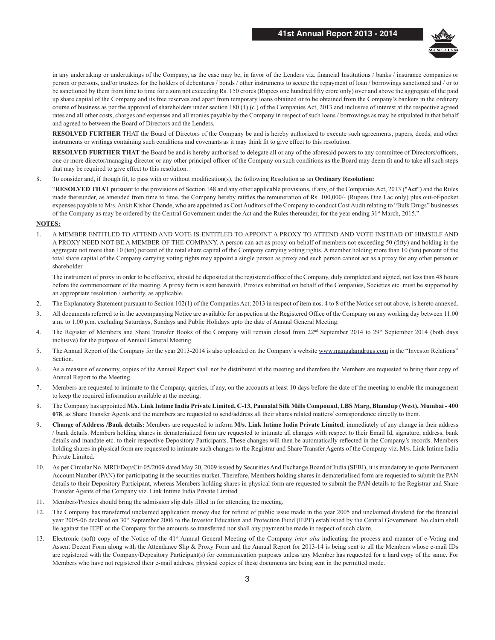

in any undertaking or undertakings of the Company, as the case may be, in favor of the Lenders viz. financial Institutions / banks / insurance companies or person or persons, and/or trustees for the holders of debentures / bonds / other instruments to secure the repayment of loan / borrowings sanctioned and / or to be sanctioned by them from time to time for a sum not exceeding Rs. 150 crores (Rupees one hundred fifty crore only) over and above the aggregate of the paid up share capital of the Company and its free reserves and apart from temporary loans obtained or to be obtained from the Company's bankers in the ordinary course of business as per the approval of shareholders under section 180 (1) (c) of the Companies Act, 2013 and inclusive of interest at the respective agreed rates and all other costs, charges and expenses and all monies payable by the Company in respect of such loans / borrowings as may be stipulated in that behalf and agreed to between the Board of Directors and the Lenders.

RESOLVED FURTHER THAT the Board of Directors of the Company be and is hereby authorized to execute such agreements, papers, deeds, and other instruments or writings containing such conditions and covenants as it may think fit to give effect to this resolution.

RESOLVED FURTHER THAT the Board be and is hereby authorised to delegate all or any of the aforesaid powers to any committee of Directors/officers, one or more director/managing director or any other principal officer of the Company on such conditions as the Board may deem fit and to take all such steps that may be required to give effect to this resolution.

8. To consider and, if though fit, to pass with or without modification(s), the following Resolution as an **Ordinary Resolution:** 

"RESOLVED THAT pursuant to the provisions of Section 148 and any other applicable provisions, if any, of the Companies Act, 2013 ("Act") and the Rules made thereunder, as amended from time to time, the Company hereby ratifies the remuneration of Rs. 100,000/- (Rupees One Lac only) plus out-of-pocket expenses payable to M/s. Ankit Kishor Chande, who are appointed as Cost Auditors of the Company to conduct Cost Audit relating to "Bulk Drugs" businesses of the Company as may be ordered by the Central Government under the Act and the Rules thereunder, for the year ending 31st March, 2015."

#### **NOTES:**

 $\mathbf{1}$ A MEMBER ENTITLED TO ATTEND AND VOTE IS ENTITLED TO APPOINT A PROXY TO ATTEND AND VOTE INSTEAD OF HIMSELF AND A PROXY NEED NOT BE A MEMBER OF THE COMPANY. A person can act as proxy on behalf of members not exceeding 50 (fifty) and holding in the aggregate not more than 10 (ten) percent of the total share capital of the Company carrying voting rights. A member holding more than 10 (ten) percent of the total share capital of the Company carrying voting rights may appoint a single person as proxy and such person cannot act as a proxy for any other person or shareholder.

The instrument of proxy in order to be effective, should be deposited at the registered office of the Company, duly completed and signed, not less than 48 hours before the commencement of the meeting. A proxy form is sent herewith. Proxies submitted on behalf of the Companies, Societies etc. must be supported by an appropriate resolution / authority, as applicable.

- The Explanatory Statement pursuant to Section 102(1) of the Companies Act, 2013 in respect of item nos. 4 to 8 of the Notice set out above, is hereto annexed.  $2.$
- $\mathcal{L}$ All documents referred to in the accompanying Notice are available for inspection at the Registered Office of the Company on any working day between 11.00 a.m. to 1.00 p.m. excluding Saturdays, Sundays and Public Holidays upto the date of Annual General Meeting.
- $\overline{4}$ . The Register of Members and Share Transfer Books of the Company will remain closed from 22<sup>nd</sup> September 2014 to 29<sup>th</sup> September 2014 (both days inclusive) for the purpose of Annual General Meeting.
- 5. The Annual Report of the Company for the year 2013-2014 is also uploaded on the Company's website www.mangalamdrugs.com in the "Investor Relations" Section.
- As a measure of economy, copies of the Annual Report shall not be distributed at the meeting and therefore the Members are requested to bring their copy of 6. Annual Report to the Meeting.
- 7. Members are requested to intimate to the Company, queries, if any, on the accounts at least 10 days before the date of the meeting to enable the management to keep the required information available at the meeting.
- 8. The Company has appointed M/s. Link Intime India Private Limited, C-13, Pannalal Silk Mills Compound, LBS Marg, Bhandup (West), Mumbai - 400 078, as Share Transfer Agents and the members are requested to send/address all their shares related matters/ correspondence directly to them.
- 9. Change of Address /Bank details: Members are requested to inform M/s. Link Intime India Private Limited, immediately of any change in their address / bank details. Members holding shares in dematerialized form are requested to intimate all changes with respect to their Email Id, signature, address, bank details and mandate etc. to their respective Depository Participants. These changes will then be automatically reflected in the Company's records. Members holding shares in physical form are requested to intimate such changes to the Registrar and Share Transfer Agents of the Company viz. M/s. Link Intime India Private Limited.
- As per Circular No. MRD/Dop/Cir-05/2009 dated May 20, 2009 issued by Securities And Exchange Board of India (SEBI), it is mandatory to quote Permanent 10. Account Number (PAN) for participating in the securities market. Therefore, Members holding shares in dematerialised form are requested to submit the PAN details to their Depository Participant, whereas Members holding shares in physical form are requested to submit the PAN details to the Registrar and Share Transfer Agents of the Company viz. Link Intime India Private Limited.
- Members/Proxies should bring the admission slip duly filled in for attending the meeting. 11.
- The Company has transferred unclaimed application money due for refund of public issue made in the year 2005 and unclaimed dividend for the financial  $12.$ year 2005-06 declared on 30<sup>th</sup> September 2006 to the Investor Education and Protection Fund (IEPF) established by the Central Government. No claim shall lie against the IEPF or the Company for the amounts so transferred nor shall any payment be made in respect of such claim.
- Electronic (soft) copy of the Notice of the 41<sup>st</sup> Annual General Meeting of the Company inter alia indicating the process and manner of e-Voting and 13. Assent Decent Form along with the Attendance Slip & Proxy Form and the Annual Report for 2013-14 is being sent to all the Members whose e-mail IDs are registered with the Company/Depository Participant(s) for communication purposes unless any Member has requested for a hard copy of the same. For Members who have not registered their e-mail address, physical copies of these documents are being sent in the permitted mode.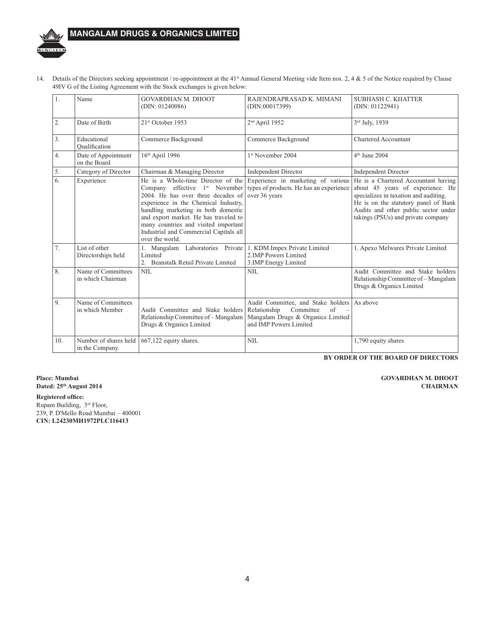

# **MANGALAM DRUGS & ORGANICS LIMITED**

14. Details of the Directors seeking appointment / re-appointment at the 41<sup>st</sup> Annual General Meeting vide Item nos. 2, 4 & 5 of the Notice required by Clause 49IV G of the Listing Agreement with the Stock exchanges is given below:

| 1.               | Name                                     | GOVARDHAN M. DHOOT<br>(DIN: 01240086)                                                                                                                                                                                                                                                                                                               | RAJENDRAPRASAD K. MIMANI<br>(DIN:00017399)                                                                                                    | <b>SUBHASH C. KHATTER</b><br>(DIN: 01122941)                                                                                                                                                                                           |
|------------------|------------------------------------------|-----------------------------------------------------------------------------------------------------------------------------------------------------------------------------------------------------------------------------------------------------------------------------------------------------------------------------------------------------|-----------------------------------------------------------------------------------------------------------------------------------------------|----------------------------------------------------------------------------------------------------------------------------------------------------------------------------------------------------------------------------------------|
| 2.               | Date of Birth                            | 21 <sup>st</sup> October 1953                                                                                                                                                                                                                                                                                                                       | 2 <sup>nd</sup> April 1952                                                                                                                    | 3rd July, 1939                                                                                                                                                                                                                         |
| 3.               | Educational<br>Oualification             | Commerce Background                                                                                                                                                                                                                                                                                                                                 | Commerce Background                                                                                                                           | <b>Chartered Accountant</b>                                                                                                                                                                                                            |
| $\overline{4}$ . | Date of Appointment<br>on the Board      | 16th April 1996                                                                                                                                                                                                                                                                                                                                     | 1st November 2004                                                                                                                             | 4 <sup>th</sup> June 2004                                                                                                                                                                                                              |
| 5.               | Category of Director                     | Chairman & Managing Director                                                                                                                                                                                                                                                                                                                        | <b>Independent Director</b>                                                                                                                   | <b>Independent Director</b>                                                                                                                                                                                                            |
| 6.               | Experience                               | He is a Whole-time Director of the<br>Company effective 1 <sup>st</sup> November<br>2004. He has over three decades of<br>experience in the Chemical Industry,<br>handling marketing in both domestic<br>and export market. He has traveled to<br>many countries and visited important<br>Industrial and Commercial Capitals all<br>over the world. | Experience in marketing of various<br>types of products. He has an experience<br>over 36 years                                                | He is a Chartered Accountant having<br>about 45 years of experience. He<br>specializes in taxation and auditing.<br>He is on the statutory panel of Bank<br>Audits and other public sector under<br>takings (PSUs) and private company |
| 7.               | List of other<br>Directorships held      | 1. Mangalam Laboratories Private<br>Limited<br>2. Beanstalk Retail Private Limited                                                                                                                                                                                                                                                                  | 1. KDM Impex Private Limited<br>2.IMP Powers Limited<br>3.IMP Energy Limited                                                                  | 1. Apexo Melwares Private Limited                                                                                                                                                                                                      |
| 8.               | Name of Committees<br>in which Chairman  | NIL                                                                                                                                                                                                                                                                                                                                                 | NIL                                                                                                                                           | Audit Committee and Stake holders<br>Relationship Committee of - Mangalam<br>Drugs & Organics Limited                                                                                                                                  |
| 9.               | Name of Committees<br>in which Member    | Audit Committee and Stake holders<br>Relationship Committee of - Mangalam<br>Drugs & Organics Limited                                                                                                                                                                                                                                               | Audit Committee, and Stake holders As above<br>Relationship<br>Committee<br>of<br>Mangalam Drugs & Organics Limited<br>and IMP Powers Limited |                                                                                                                                                                                                                                        |
| 10.              | Number of shares held<br>in the Company. | 667,122 equity shares.                                                                                                                                                                                                                                                                                                                              | <b>NIL</b>                                                                                                                                    | 1,790 equity shares                                                                                                                                                                                                                    |

BY ORDER OF THE BOARD OF DIRECTORS

Place: Mumbai Dated: 25<sup>th</sup> August 2014

**Registered office:** Rupam Building, 3rd Floor, 239, P. D'Mello Road Mumbai - 400001 CIN: L24230MH1972PLC116413

**GOVARDHAN M. DHOOT CHAIRMAN**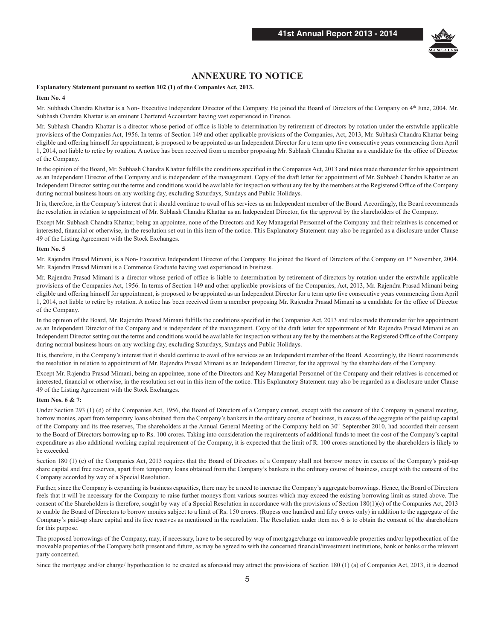

## **ANNEXURE TO NOTICE**

### Explanatory Statement pursuant to section 102 (1) of the Companies Act, 2013.

#### Item No. 4

Mr. Subhash Chandra Khattar is a Non-Executive Independent Director of the Company. He joined the Board of Directors of the Company on 4<sup>th</sup> June, 2004. Mr. Subhash Chandra Khattar is an eminent Chartered Accountant having vast experienced in Finance.

Mr. Subhash Chandra Khattar is a director whose period of office is liable to determination by retirement of directors by rotation under the erstwhile applicable provisions of the Companies Act, 1956. In terms of Section 149 and other applicable provisions of the Companies, Act, 2013, Mr. Subhash Chandra Khattar being eligible and offering himself for appointment, is proposed to be appointed as an Independent Director for a term upto five consecutive years commencing from April 1, 2014, not liable to retire by rotation. A notice has been received from a member proposing Mr. Subhash Chandra Khattar as a candidate for the office of Director of the Company.

In the opinion of the Board, Mr. Subhash Chandra Khattar fulfills the conditions specified in the Companies Act, 2013 and rules made thereunder for his appointment as an Independent Director of the Company and is independent of the management. Copy of the draft letter for appointment of Mr. Subhash Chandra Khattar as an Independent Director setting out the terms and conditions would be available for inspection without any fee by the members at the Registered Office of the Company during normal business hours on any working day, excluding Saturdays, Sundays and Public Holidays.

It is, therefore, in the Company's interest that it should continue to avail of his services as an Independent member of the Board. Accordingly, the Board recommends the resolution in relation to appointment of Mr. Subhash Chandra Khattar as an Independent Director, for the approval by the shareholders of the Company.

Except Mr. Subhash Chandra Khattar, being an appointee, none of the Directors and Key Managerial Personnel of the Company and their relatives is concerned or interested, financial or otherwise, in the resolution set out in this item of the notice. This Explanatory Statement may also be regarded as a disclosure under Clause 49 of the Listing Agreement with the Stock Exchanges.

#### Item No. 5

Mr. Rajendra Prasad Mimani, is a Non-Executive Independent Director of the Company. He joined the Board of Directors of the Company on 1st November, 2004. Mr. Rajendra Prasad Mimani is a Commerce Graduate having vast experienced in business.

Mr. Rajendra Prasad Mimani is a director whose period of office is liable to determination by retirement of directors by rotation under the erstwhile applicable provisions of the Companies Act, 1956. In terms of Section 149 and other applicable provisions of the Companies, Act, 2013, Mr. Rajendra Prasad Mimani being eligible and offering himself for appointment, is proposed to be appointed as an Independent Director for a term upto five consecutive years commencing from April 1, 2014, not liable to retire by rotation. A notice has been received from a member proposing Mr. Rajendra Prasad Mimani as a candidate for the office of Director of the Company

In the opinion of the Board, Mr. Rajendra Prasad Mimani fulfills the conditions specified in the Companies Act, 2013 and rules made thereunder for his appointment as an Independent Director of the Company and is independent of the management. Copy of the draft letter for appointment of Mr. Rajendra Prasad Mimani as an Independent Director setting out the terms and conditions would be available for inspection without any fee by the members at the Registered Office of the Company during normal business hours on any working day, excluding Saturdays, Sundays and Public Holidays.

It is, therefore, in the Company's interest that it should continue to avail of his services as an Independent member of the Board. Accordingly, the Board recommends the resolution in relation to appointment of Mr. Rajendra Prasad Mimani as an Independent Director, for the approval by the shareholders of the Company.

Except Mr. Rajendra Prasad Mimani, being an appointee, none of the Directors and Key Managerial Personnel of the Company and their relatives is concerned or interested, financial or otherwise, in the resolution set out in this item of the notice. This Explanatory Statement may also be regarded as a disclosure under Clause 49 of the Listing Agreement with the Stock Exchanges.

#### **Item Nos. 6 & 7:**

Under Section 293 (1) (d) of the Companies Act, 1956, the Board of Directors of a Company cannot, except with the consent of the Company in general meeting, borrow monies, apart from temporary loans obtained from the Company's bankers in the ordinary course of business, in excess of the aggregate of the paid up capital of the Company and its free reserves, The shareholders at the Annual General Meeting of the Company held on 30<sup>th</sup> September 2010, had accorded their consent to the Board of Directors borrowing up to Rs. 100 crores. Taking into consideration the requirements of additional funds to meet the cost of the Company's capital expenditure as also additional working capital requirement of the Company, it is expected that the limit of R. 100 crores sanctioned by the shareholders is likely to be exceeded.

Section 180 (1) (c) of the Companies Act, 2013 requires that the Board of Directors of a Company shall not borrow money in excess of the Company's paid-up share capital and free reserves, apart from temporary loans obtained from the Company's bankers in the ordinary course of business, except with the consent of the Company accorded by way of a Special Resolution.

Further, since the Company is expanding its business capacities, there may be a need to increase the Company's aggregate borrowings. Hence, the Board of Directors feels that it will be necessary for the Company to raise further moneys from various sources which may exceed the existing borrowing limit as stated above. The consent of the Shareholders is therefore, sought by way of a Special Resolution in accordance with the provisions of Section 180(1)(c) of the Companies Act, 2013 to enable the Board of Directors to borrow monies subject to a limit of Rs. 150 crores. (Rupess one hundred and fifty crores only) in addition to the aggregate of the Company's paid-up share capital and its free reserves as mentioned in the resolution. The Resolution under item no. 6 is to obtain the consent of the shareholders for this purpose.

The proposed borrowings of the Company, may, if necessary, have to be secured by way of mortgage/charge on immoveable properties and/or hypothecation of the moveable properties of the Company both present and future, as may be agreed to with the concerned financial/investment institutions, bank or banks or the relevant party concerned.

Since the mortgage and/or charge/ hypothecation to be created as aforesaid may attract the provisions of Section 180 (1) (a) of Companies Act, 2013, it is deemed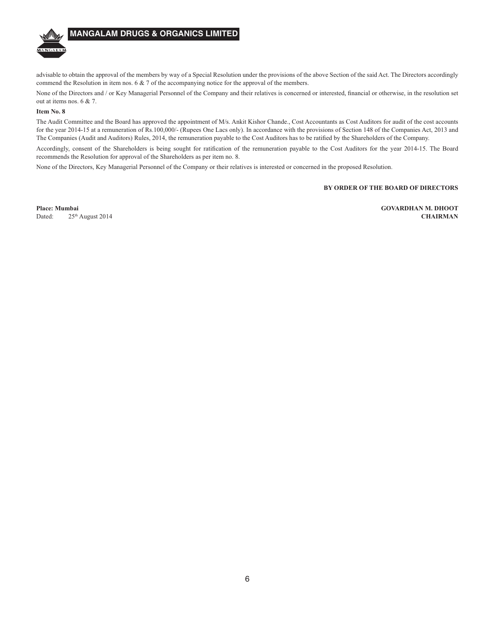

# **MANGALAM DRUGS & ORGANICS LIMITED**

advisable to obtain the approval of the members by way of a Special Resolution under the provisions of the above Section of the said Act. The Directors accordingly commend the Resolution in item nos. 6  $\& \, 7$  of the accompanying notice for the approval of the members.

None of the Directors and / or Key Managerial Personnel of the Company and their relatives is concerned or interested, financial or otherwise, in the resolution set out at items nos. 6 & 7.

#### Item No. 8

The Audit Committee and the Board has approved the appointment of M/s. Ankit Kishor Chande., Cost Accountants as Cost Auditors for audit of the cost accounts for the year 2014-15 at a remuneration of Rs.100,000/- (Rupees One Lacs only). In accordance with the provisions of Section 148 of the Companies Act, 2013 and The Companies (Audit and Auditors) Rules, 2014, the remuneration payable to the Cost Auditors has to be ratified by the Shareholders of the Company.

Accordingly, consent of the Shareholders is being sought for ratification of the remuneration payable to the Cost Auditors for the year 2014-15. The Board recommends the Resolution for approval of the Shareholders as per item no. 8.

None of the Directors, Key Managerial Personnel of the Company or their relatives is interested or concerned in the proposed Resolution.

#### BY ORDER OF THE BOARD OF DIRECTORS

Place: Mumbai Dated<sup>-</sup> 25th August 2014 **GOVARDHAN M. DHOOT CHAIRMAN**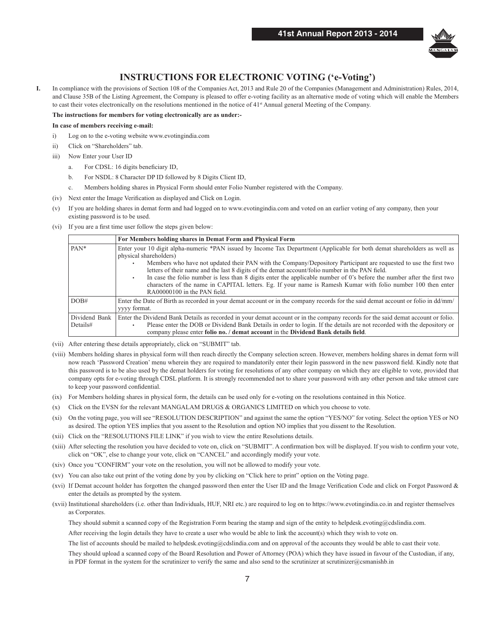

# **INSTRUCTIONS FOR ELECTRONIC VOTING ('e-Voting')**

In compliance with the provisions of Section 108 of the Companies Act, 2013 and Rule 20 of the Companies (Management and Administration) Rules, 2014, I. and Clause 35B of the Listing Agreement, the Company is pleased to offer e-voting facility as an alternative mode of voting which will enable the Members to cast their votes electronically on the resolutions mentioned in the notice of  $41<sup>st</sup>$  Annual general Meeting of the Company.

#### The instructions for members for voting electronically are as under:-

#### In case of members receiving e-mail:

- $i)$ Log on to the e-voting website www.evotingindia.com
- Click on "Shareholders" tab.  $\overline{11}$
- $\overline{iii}$ Now Enter your User ID
	- For CDSL: 16 digits beneficiary ID,  $\mathbf{a}$
	- For NSDL: 8 Character DP ID followed by 8 Digits Client ID,  $<sub>b</sub>$ </sub>
	- Members holding shares in Physical Form should enter Folio Number registered with the Company. c.
- (iv) Next enter the Image Verification as displayed and Click on Login.
- (v) If you are holding shares in demat form and had logged on to www.evotingindia.com and voted on an earlier voting of any company, then your existing password is to be used.
- (vi) If you are a first time user follow the steps given below:

|                           | For Members holding shares in Demat Form and Physical Form                                                                                                                                                                                                                                                                                                                                                                                                                                                                                                                                                                                                          |  |
|---------------------------|---------------------------------------------------------------------------------------------------------------------------------------------------------------------------------------------------------------------------------------------------------------------------------------------------------------------------------------------------------------------------------------------------------------------------------------------------------------------------------------------------------------------------------------------------------------------------------------------------------------------------------------------------------------------|--|
| $PAN*$                    | Enter your 10 digit alpha-numeric *PAN issued by Income Tax Department (Applicable for both demat shareholders as well as<br>physical shareholders)<br>Members who have not updated their PAN with the Company/Depository Participant are requested to use the first two<br>letters of their name and the last 8 digits of the demat account/folio number in the PAN field.<br>In case the folio number is less than 8 digits enter the applicable number of 0's before the number after the first two<br>$\bullet$<br>characters of the name in CAPITAL letters. Eg. If your name is Ramesh Kumar with folio number 100 then enter<br>RA00000100 in the PAN field. |  |
| DOB#                      | Enter the Date of Birth as recorded in your demat account or in the company records for the said demat account or folio in dd/mm/<br>vyyy format.                                                                                                                                                                                                                                                                                                                                                                                                                                                                                                                   |  |
| Dividend Bank<br>Details# | Enter the Dividend Bank Details as recorded in your demat account or in the company records for the said demat account or folio.<br>Please enter the DOB or Dividend Bank Details in order to login. If the details are not recorded with the depository or<br>company please enter folio no. / demat account in the Dividend Bank details field.                                                                                                                                                                                                                                                                                                                   |  |

(vii) After entering these details appropriately, click on "SUBMIT" tab.

- (viii) Members holding shares in physical form will then reach directly the Company selection screen. However, members holding shares in demat form will now reach 'Password Creation' menu wherein they are required to mandatorily enter their login password in the new password field. Kindly note that this password is to be also used by the demat holders for voting for resolutions of any other company on which they are eligible to vote, provided that company opts for e-voting through CDSL platform. It is strongly recommended not to share your password with any other person and take utmost care to keep your password confidential.
- (ix) For Members holding shares in physical form, the details can be used only for e-voting on the resolutions contained in this Notice.
- (x) Click on the EVSN for the relevant MANGALAM DRUGS & ORGANICS LIMITED on which you choose to vote.
- On the voting page, you will see "RESOLUTION DESCRIPTION" and against the same the option "YES/NO" for voting. Select the option YES or NO  $(xi)$ as desired. The option YES implies that you assent to the Resolution and option NO implies that you dissent to the Resolution.
- (xii) Click on the "RESOLUTIONS FILE LINK" if you wish to view the entire Resolutions details.
- (xiii) After selecting the resolution you have decided to vote on, click on "SUBMIT". A confirmation box will be displayed. If you wish to confirm your vote, click on "OK", else to change your vote, click on "CANCEL" and accordingly modify your vote.
- (xiv) Once you "CONFIRM" your vote on the resolution, you will not be allowed to modify your vote.
- (xv) You can also take out print of the voting done by you by clicking on "Click here to print" option on the Voting page.
- (xvi) If Demat account holder has forgotten the changed password then enter the User ID and the Image Verification Code and click on Forgot Password & enter the details as prompted by the system.

(xvii) Institutional shareholders (i.e. other than Individuals, HUF, NRI etc.) are required to log on to https://www.evotingindia.co.in and register themselves as Corporates.

They should submit a scanned copy of the Registration Form bearing the stamp and sign of the entity to helpdesk evoting @cdslindia.com.

After receiving the login details they have to create a user who would be able to link the account(s) which they wish to vote on.

The list of accounts should be mailed to helpdesk.evoting@cdslindia.com and on approval of the accounts they would be able to cast their vote.

They should upload a scanned copy of the Board Resolution and Power of Attorney (POA) which they have issued in favour of the Custodian, if any, in PDF format in the system for the scrutinizer to verify the same and also send to the scrutinizer at scrutinizer@csmanishb.in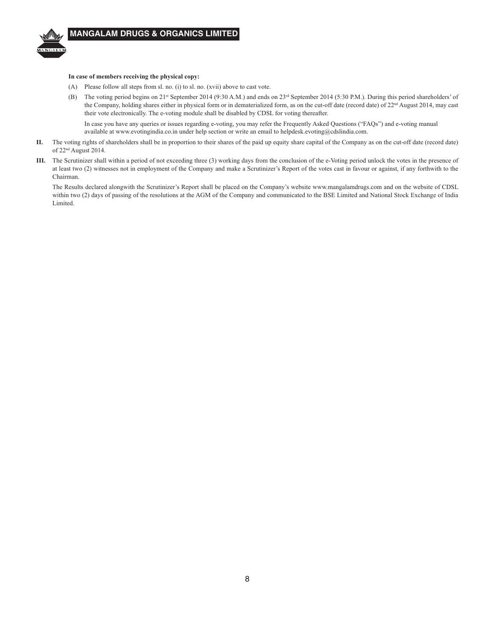

#### In case of members receiving the physical copy:

- (A) Please follow all steps from sl. no. (i) to sl. no. (xvii) above to cast vote.
- (B) The voting period begins on 21<sup>st</sup> September 2014 (9:30 A.M.) and ends on 23<sup>rd</sup> September 2014 (5:30 P.M.). During this period shareholders' of the Company, holding shares either in physical form or in dematerialized form, as on the cut-off date (record date) of 22<sup>nd</sup> August 2014, may cast their vote electronically. The e-voting module shall be disabled by CDSL for voting thereafter.

In case you have any queries or issues regarding e-voting, you may refer the Frequently Asked Questions ("FAQs") and e-voting manual available at www.evotingindia.co.in under help section or write an email to helpdesk.evoting@cdslindia.com.

- The voting rights of shareholders shall be in proportion to their shares of the paid up equity share capital of the Company as on the cut-off date (record date) П. of 22<sup>nd</sup> August 2014.
- III. The Scrutinizer shall within a period of not exceeding three (3) working days from the conclusion of the e-Voting period unlock the votes in the presence of at least two (2) witnesses not in employment of the Company and make a Scrutinizer's Report of the votes cast in favour or against, if any forthwith to the Chairman.

The Results declared alongwith the Scrutinizer's Report shall be placed on the Company's website www.mangalamdrugs.com and on the website of CDSL within two (2) days of passing of the resolutions at the AGM of the Company and communicated to the BSE Limited and National Stock Exchange of India Limited.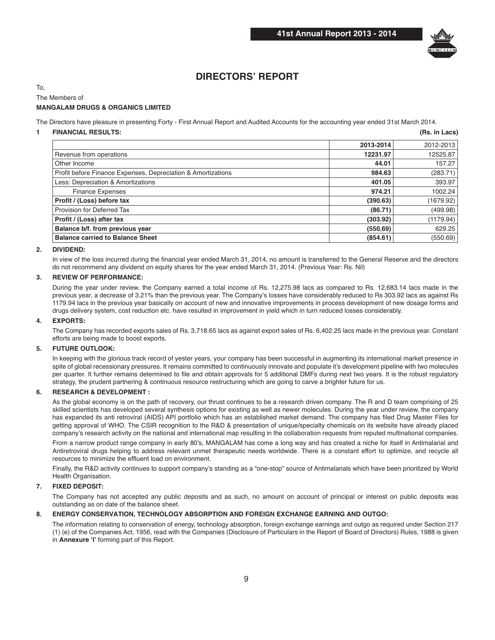

# **DIRECTORS' REPORT**

To,

### The Members of

### **MANGALAM DRUGS & ORGANICS LIMITED**

The Directors have pleasure in presenting Forty - First Annual Report and Audited Accounts for the accounting year ended 31st March 2014.

#### **1 FINANCIAL RESULTS: (Rs. in Lacs)**

|                                                              | 2013-2014 | 2012-2013 |
|--------------------------------------------------------------|-----------|-----------|
| Revenue from operations                                      | 12231.97  | 12525.87  |
| Other Income                                                 | 44.01     | 157.27    |
| Profit before Finance Expenses, Depreciation & Amortizations | 984.63    | (283.71)  |
| Less: Depreciation & Amortizations                           | 401.05    | 393.97    |
| <b>Finance Expenses</b>                                      | 974.21    | 1002.24   |
| Profit / (Loss) before tax                                   | (390.63)  | (1679.92) |
| Provision for Deferred Tax                                   | (86.71)   | (499.98)  |
| Profit / (Loss) after tax                                    | (303.92)  | (1179.94) |
| Balance b/f. from previous year                              | (550.69)  | 629.25    |
| <b>Balance carried to Balance Sheet</b>                      | (854.61)  | (550.69)  |

### **2. DIVIDEND:**

 In view of the loss incurred during the financial year ended March 31, 2014, no amount is transferred to the General Reserve and the directors do not recommend any dividend on equity shares for the year ended March 31, 2014. (Previous Year: Rs. Nil)

#### **3. REVIEW OF PERFORMANCE:**

 During the year under review, the Company earned a total income of Rs. 12,275.98 lacs as compared to Rs. 12,683.14 lacs made in the previous year, a decrease of 3.21% than the previous year. The Company's losses have considerably reduced to Rs 303.92 lacs as against Rs 1179.94 lacs in the previous year basically on account of new and innovative improvements in process development of new dosage forms and drugs delivery system, cost reduction etc. have resulted in improvement in yield which in turn reduced losses considerably.

#### **4. EXPORTS:**

 The Company has recorded exports sales of Rs. 3,718.65 lacs as against export sales of Rs. 6,402.25 lacs made in the previous year. Constant efforts are being made to boost exports.

### **5. FUTURE OUTLOOK:**

 In keeping with the glorious track record of yester years, your company has been successful in augmenting its international market presence in spite of global recessionary pressures. It remains committed to continuously innovate and populate it's development pipeline with two molecules per quarter. It further remains determined to file and obtain approvals for 5 additional DMFs during next two years. It is the robust regulatory strategy, the prudent partnering & continuous resource restructuring which are going to carve a brighter future for us.

#### **6. RESEARCH & DEVELOPMENT :**

 As the global economy is on the path of recovery, our thrust continues to be a research driven company. The R and D team comprising of 25 skilled scientists has developed several synthesis options for existing as well as newer molecules. During the year under review, the company has expanded its anti retroviral (AIDS) API portfolio which has an established market demand. The company has filed Drug Master Files for getting approval of WHO. The CSIR recognition to the R&D & presentation of unique/specialty chemicals on its website have already placed company's research activity on the national and international map resulting in the collaboration requests from reputed multinational companies.

 From a narrow product range company in early 80's, MANGALAM has come a long way and has created a niche for itself in Antimalarial and Antiretroviral drugs helping to address relevant unmet therapeutic needs worldwide. There is a constant effort to optimize, and recycle all resources to minimize the effluent load on environment.

 Finally, the R&D activity continues to support company's standing as a "one-stop" source of Antimalarials which have been prioritized by World Health Organisation.

#### **7. FIXED DEPOSIT:**

 The Company has not accepted any public deposits and as such, no amount on account of principal or interest on public deposits was outstanding as on date of the balance sheet.

#### **8. ENERGY CONSERVATION, TECHNOLOGY ABSORPTION AND FOREIGN EXCHANGE EARNING AND OUTGO:**

 The information relating to conservation of energy, technology absorption, foreign exchange earnings and outgo as required under Section 217 (1) (e) of the Companies Act, 1956, read with the Companies (Disclosure of Particulars in the Report of Board of Directors) Rules, 1988 is given in **Annexure 'I'** forming part of this Report.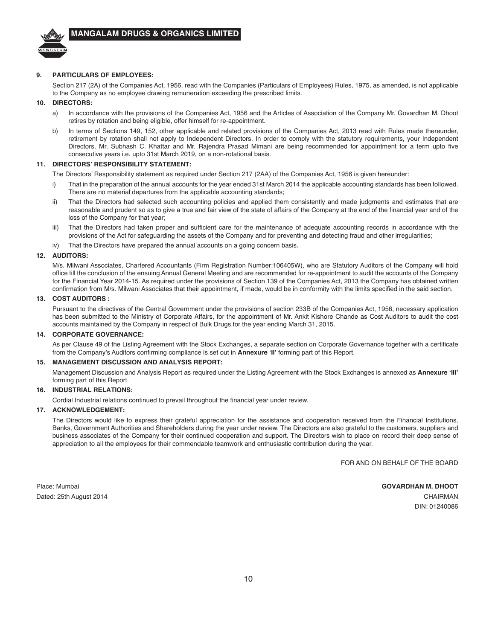

#### **9. PARTICULARS OF EMPLOYEES:**

 Section 217 (2A) of the Companies Act, 1956, read with the Companies (Particulars of Employees) Rules, 1975, as amended, is not applicable to the Company as no employee drawing remuneration exceeding the prescribed limits.

#### **10. DIRECTORS:**

- a) In accordance with the provisions of the Companies Act, 1956 and the Articles of Association of the Company Mr. Govardhan M. Dhoot retires by rotation and being eligible, offer himself for re-appointment.
- b) In terms of Sections 149, 152, other applicable and related provisions of the Companies Act, 2013 read with Rules made thereunder, retirement by rotation shall not apply to Independent Directors. In order to comply with the statutory requirements, your Independent Directors, Mr. Subhash C. Khattar and Mr. Rajendra Prasad Mimani are being recommended for appointment for a term upto five consecutive years i.e. upto 31st March 2019, on a non-rotational basis.

#### **11. DIRECTORS' RESPONSIBILITY STATEMENT:**

The Directors' Responsibility statement as required under Section 217 (2AA) of the Companies Act, 1956 is given hereunder:

- i) That in the preparation of the annual accounts for the year ended 31st March 2014 the applicable accounting standards has been followed. There are no material departures from the applicable accounting standards;
- That the Directors had selected such accounting policies and applied them consistently and made judgments and estimates that are reasonable and prudent so as to give a true and fair view of the state of affairs of the Company at the end of the financial year and of the loss of the Company for that year;
- iii) That the Directors had taken proper and sufficient care for the maintenance of adequate accounting records in accordance with the provisions of the Act for safeguarding the assets of the Company and for preventing and detecting fraud and other irregularities;
- iv) That the Directors have prepared the annual accounts on a going concern basis.

#### **12. AUDITORS:**

 M/s. Milwani Associates, Chartered Accountants (Firm Registration Number:106405W), who are Statutory Auditors of the Company will hold office till the conclusion of the ensuing Annual General Meeting and are recommended for re-appointment to audit the accounts of the Company for the Financial Year 2014-15. As required under the provisions of Section 139 of the Companies Act, 2013 the Company has obtained written confirmation from M/s. Milwani Associates that their appointment, if made, would be in conformity with the limits specified in the said section.

#### **13. COST AUDITORS :**

 Pursuant to the directives of the Central Government under the provisions of section 233B of the Companies Act, 1956, necessary application has been submitted to the Ministry of Corporate Affairs, for the appointment of Mr. Ankit Kishore Chande as Cost Auditors to audit the cost accounts maintained by the Company in respect of Bulk Drugs for the year ending March 31, 2015.

#### **14. CORPORATE GOVERNANCE:**

 As per Clause 49 of the Listing Agreement with the Stock Exchanges, a separate section on Corporate Governance together with a certificate from the Company's Auditors confirming compliance is set out in **Annexure 'II'** forming part of this Report.

#### **15. MANAGEMENT DISCUSSION AND ANALYSIS REPORT:**

Management Discussion and Analysis Report as required under the Listing Agreement with the Stock Exchanges is annexed as Annexure 'Ill' forming part of this Report.

#### **16. INDUSTRIAL RELATIONS:**

Cordial Industrial relations continued to prevail throughout the financial year under review.

#### **17. ACKNOWLEDGEMENT:**

 The Directors would like to express their grateful appreciation for the assistance and cooperation received from the Financial Institutions, Banks, Government Authorities and Shareholders during the year under review. The Directors are also grateful to the customers, suppliers and business associates of the Company for their continued cooperation and support. The Directors wish to place on record their deep sense of appreciation to all the employees for their commendable teamwork and enthusiastic contribution during the year.

FOR AND ON BEHALF OF THE BOARD

Place: Mumbai **GOVARDHAN M. DHOOT** Dated: 25th August 2014 **CHAIRMAN** CHAIRMAN

DIN: 01240086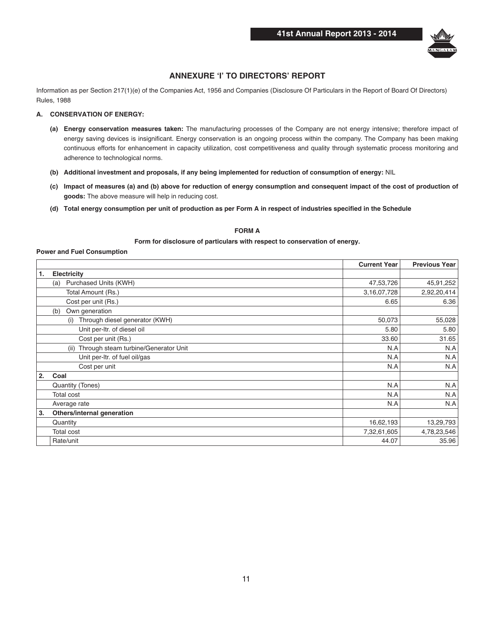

### **ANNEXURE 'I' TO DIRECTORS' REPORT**

Information as per Section 217(1)(e) of the Companies Act, 1956 and Companies (Disclosure Of Particulars in the Report of Board Of Directors) **Rules, 1988** 

#### A. CONSERVATION OF ENERGY:

- (a) Energy conservation measures taken: The manufacturing processes of the Company are not energy intensive; therefore impact of energy saving devices is insignificant. Energy conservation is an ongoing process within the company. The Company has been making continuous efforts for enhancement in capacity utilization, cost competitiveness and quality through systematic process monitoring and adherence to technological norms.
- (b) Additional investment and proposals, if any being implemented for reduction of consumption of energy: NIL
- (c) Impact of measures (a) and (b) above for reduction of energy consumption and consequent impact of the cost of production of goods: The above measure will help in reducing cost.
- (d) Total energy consumption per unit of production as per Form A in respect of industries specified in the Schedule

### **FORM A**

#### Form for disclosure of particulars with respect to conservation of energy.

#### **Power and Fuel Consumption**

|    |                                              | <b>Current Year</b> | <b>Previous Year</b> |
|----|----------------------------------------------|---------------------|----------------------|
| 1. | Electricity                                  |                     |                      |
|    | Purchased Units (KWH)<br>(a)                 | 47,53,726           | 45,91,252            |
|    | Total Amount (Rs.)                           | 3,16,07,728         | 2,92,20,414          |
|    | Cost per unit (Rs.)                          | 6.65                | 6.36                 |
|    | Own generation<br>(b)                        |                     |                      |
|    | Through diesel generator (KWH)<br>(i)        | 50,073              | 55,028               |
|    | Unit per-Itr. of diesel oil                  | 5.80                | 5.80                 |
|    | Cost per unit (Rs.)                          | 33.60               | 31.65                |
|    | Through steam turbine/Generator Unit<br>(ii) | N.A                 | N.A                  |
|    | Unit per-Itr. of fuel oil/gas                | N.A                 | N.A                  |
|    | Cost per unit                                | N.A                 | N.A                  |
| 2. | Coal                                         |                     |                      |
|    | Quantity (Tones)                             | N.A                 | N.A                  |
|    | <b>Total cost</b>                            | N.A                 | N.A                  |
|    | Average rate                                 | N.A                 | N.A                  |
| 3. | Others/internal generation                   |                     |                      |
|    | Quantity                                     | 16,62,193           | 13,29,793            |
|    | <b>Total cost</b>                            | 7,32,61,605         | 4,78,23,546          |
|    | Rate/unit                                    | 44.07               | 35.96                |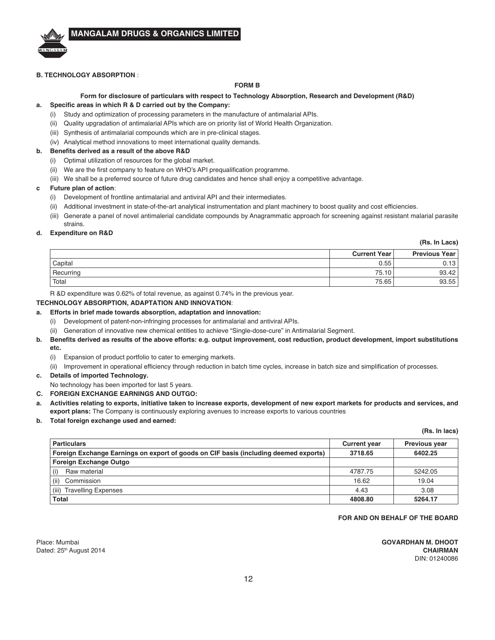#### **B. TECHNOLOGY ABSORPTION** :

A NGA LA

#### **FORM B**

### Form for disclosure of particulars with respect to Technology Absorption, Research and Development (R&D)

#### **a.** Specific areas in which R & D carried out by the Company:

- (i) Study and optimization of processing parameters in the manufacture of antimalarial APIs.
- (ii) Quality upgradation of antimalarial APIs which are on priority list of World Health Organization.
- (iii) Synthesis of antimalarial compounds which are in pre-clinical stages.
- (iv) Analytical method innovations to meet international quality demands.

#### **b.** Benefits derived as a result of the above R&D

- (i) Optimal utilization of resources for the global market.
- (ii) We are the first company to feature on WHO's API prequalification programme.
- (iii) We shall be a preferred source of future drug candidates and hence shall enjoy a competitive advantage.

#### **c Future plan of action:**

- (i) Development of frontline antimalarial and antiviral API and their intermediates.
- (ii) Additional investment in state-of-the-art analytical instrumentation and plant machinery to boost quality and cost efficiencies.
- (iii) Generate a panel of novel antimalerial candidate compounds by Anagrammatic approach for screening against resistant malarial parasite strains.

#### **d.** Expenditure on R&D

**(Rs. In Lacs) Current Year | Previous Year**  $\textsf{Capital} \quad \textcolor{red}{\mathbf{0.13}}$ Recurring 75.10 93.42 Total  $75.65$  93.55 93.55

R &D expenditure was 0.62% of total revenue, as against 0.74% in the previous year.

#### **TECHNOLOGY ABSORPTION, ADAPTATION AND INNOVATION**:

#### a. Efforts in brief made towards absorption, adaptation and innovation:

- (i) Development of patent-non-infringing processes for antimalarial and antiviral APIs.
- (ii) Generation of innovative new chemical entities to achieve "Single-dose-cure" in Antimalarial Segment.
- **b.** Benefits derived as results of the above efforts: e.g. output improvement, cost reduction, product development, import substitutions  $etc.$ 
	- (i) Expansion of product portfolio to cater to emerging markets.
	- (ii) Improvement in operational efficiency through reduction in batch time cycles, increase in batch size and simplification of processes.
- c. Details of imported Technology.
	- No technology has been imported for last 5 years.
- **C. FOREIGN EXCHANGE EARNINGS AND OUTGO:**
- a. Activities relating to exports, initiative taken to increase exports, development of new export markets for products and services, and export plans: The Company is continuously exploring avenues to increase exports to various countries
- **b.** Total foreign exchange used and earned:

#### **(Rs. In lacs)**

| <b>Particulars</b>                                                                   | <b>Current year</b> | <b>Previous year</b> |
|--------------------------------------------------------------------------------------|---------------------|----------------------|
| Foreign Exchange Earnings on export of goods on CIF basis (including deemed exports) | 3718.65             | 6402.25              |
| <b>Foreign Exchange Outgo</b>                                                        |                     |                      |
| Raw material                                                                         | 4787.75             | 5242.05              |
| Commission<br>(ii)                                                                   | 16.62               | 19.04                |
| (iii)<br><b>Travelling Expenses</b>                                                  | 4.43                | 3.08                 |
| Total                                                                                | 4808.80             | 5264.17              |

#### **FOR AND ON BEHALF OF THE BOARD**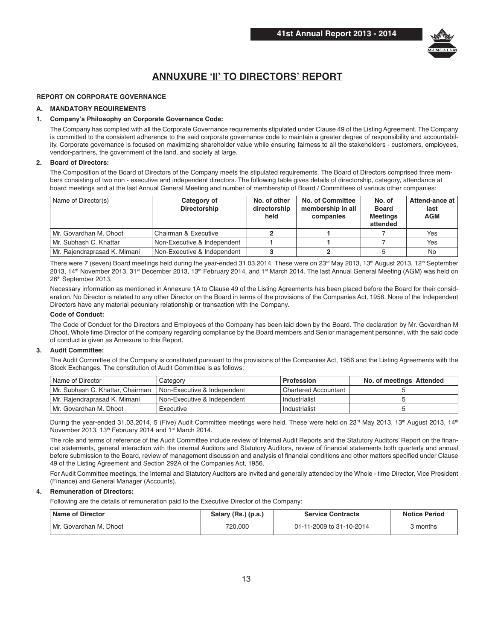

# **ANNUXURE 'II' TO DIRECTORS' REPORT**

#### **REPORT ON CORPORATE GOVERNANCE**

#### **A. MANDATORY REQUIREMENTS**

#### 1. Company's Philosophy on Corporate Governance Code:

 The Company has complied with all the Corporate Governance requirements stipulated under Clause 49 of the Listing Agreement. The Company is committed to the consistent adherence to the said corporate governance code to maintain a greater degree of responsibility and accountability. Corporate governance is focused on maximizing shareholder value while ensuring fairness to all the stakeholders - customers, employees, vendor-partners, the government of the land, and society at large.

#### **2.** Board of Directors:

 The Composition of the Board of Directors of the Company meets the stipulated requirements. The Board of Directors comprised three members consisting of two non - executive and independent directors. The following table gives details of directorship, category, attendance at board meetings and at the last Annual General Meeting and number of membership of Board / Committees of various other companies:

| Name of Director(s)          | Category of<br>Directorship | No. of other<br>directorship<br>held | <b>No. of Committee</b><br>membership in all<br>companies | No. of<br><b>Board</b><br><b>Meetings</b><br>attended | Attend-ance at<br>last<br><b>AGM</b> |
|------------------------------|-----------------------------|--------------------------------------|-----------------------------------------------------------|-------------------------------------------------------|--------------------------------------|
| l Mr. Govardhan M. Dhoot     | Chairman & Executive        |                                      |                                                           |                                                       | Yes                                  |
| l Mr. Subhash C. Khattar     | Non-Executive & Independent |                                      |                                                           |                                                       | Yes                                  |
| Mr. Rajendraprasad K. Mimani | Non-Executive & Independent |                                      |                                                           |                                                       | No                                   |

There were 7 (seven) Board meetings held during the year-ended 31.03.2014. These were on 23<sup>rd</sup> May 2013, 13<sup>th</sup> August 2013, 12<sup>th</sup> September 2013, 14<sup>th</sup> November 2013, 31<sup>st</sup> December 2013, 13<sup>th</sup> February 2014, and 1<sup>st</sup> March 2014. The last Annual General Meeting (AGM) was held on 26th September 2013.

 Necessary information as mentioned in Annexure 1A to Clause 49 of the Listing Agreements has been placed before the Board for their consideration. No Director is related to any other Director on the Board in terms of the provisions of the Companies Act, 1956. None of the Independent Directors have any material pecuniary relationship or transaction with the Company.

#### **Code of Conduct:**

 The Code of Conduct for the Directors and Employees of the Company has been laid down by the Board. The declaration by Mr. Govardhan M Dhoot, Whole time Director of the company regarding compliance by the Board members and Senior management personnel, with the said code of conduct is given as Annexure to this Report.

#### **3.** Audit Committee:

 The Audit Committee of the Company is constituted pursuant to the provisions of the Companies Act, 1956 and the Listing Agreements with the Stock Exchanges. The constitution of Audit Committee is as follows:

| Name of Director                 | Category                      | <b>Profession</b>      | No. of meetings Attended |
|----------------------------------|-------------------------------|------------------------|--------------------------|
| Mr. Subhash C. Khattar, Chairman | Non-Executive & Independent   | l Chartered Accountant |                          |
| Mr. Rajendraprasad K. Mimani     | l Non-Executive & Independent | Industrialist          |                          |
| l Mr. Govardhan M. Dhoot         | Executive                     | Industrialist          |                          |

During the year-ended 31.03.2014, 5 (Five) Audit Committee meetings were held. These were held on 23<sup>rd</sup> May 2013, 13<sup>th</sup> August 2013, 14<sup>th</sup> November 2013, 13<sup>th</sup> February 2014 and 1<sup>st</sup> March 2014.

 The role and terms of reference of the Audit Committee include review of Internal Audit Reports and the Statutory Auditors' Report on the financial statements, general interaction with the internal Auditors and Statutory Auditors, review of financial statements both quarterly and annual before submission to the Board, review of management discussion and analysis of financial conditions and other matters specified under Clause 49 of the Listing Agreement and Section 292A of the Companies Act, 1956.

 For Audit Committee meetings, the Internal and Statutory Auditors are invited and generally attended by the Whole - time Director, Vice President (Finance) and General Manager (Accounts).

#### **4.** Remuneration of Directors:

Following are the details of remuneration paid to the Executive Director of the Company:

| Name of Director         | Salary (Rs.) (p.a.) | <b>Service Contracts</b> | <b>Notice Period</b> |
|--------------------------|---------------------|--------------------------|----------------------|
| I Mr. Govardhan M. Dhoot | 720.000             | 01-11-2009 to 31-10-2014 | 3 months             |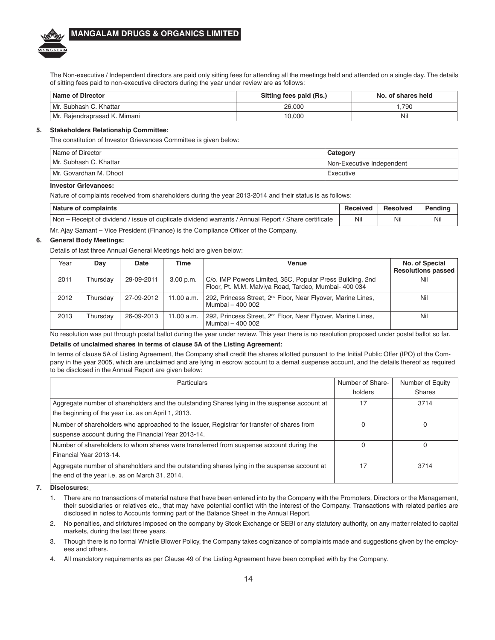The Non-executive / Independent directors are paid only sitting fees for attending all the meetings held and attended on a single day. The details of sitting fees paid to non-executive directors during the year under review are as follows:

| Name of Director               | Sitting fees paid (Rs.) | No. of shares held |
|--------------------------------|-------------------------|--------------------|
| Mr. Subhash C. Khattar         | 26,000                  | .790               |
| l Mr. Raiendraprasad K. Mimani | 10,000                  | Nil                |

#### **5.** Stakeholders Relationship Committee:

The constitution of Investor Grievances Committee is given below:

| Name of Director       | Category                  |
|------------------------|---------------------------|
| Mr. Subhash C. Khattar | Non-Executive Independent |
| Mr. Govardhan M. Dhoot | Executive                 |

### **Investor Grievances:**

A NGA LA

Nature of complaints received from shareholders during the year 2013-2014 and their status is as follows:

| Nature of complaints                                                                                 | Received | Resolved | Pendina |
|------------------------------------------------------------------------------------------------------|----------|----------|---------|
| Non – Receipt of dividend / issue of duplicate dividend warrants / Annual Report / Share certificate | Nil      | Nil      | Nil     |

Mr. Ajay Samant – Vice President (Finance) is the Compliance Officer of the Company.

#### **6.** General Body Meetings:

Details of last three Annual General Meetings held are given below:

| Year | Dav      | Date       | Time       | Venue                                                                                                              | No. of Special<br><b>Resolutions passed</b> |
|------|----------|------------|------------|--------------------------------------------------------------------------------------------------------------------|---------------------------------------------|
| 2011 | Thursdav | 29-09-2011 | 3.00 p.m.  | C/o. IMP Powers Limited, 35C, Popular Press Building, 2nd<br>Floor, Pt. M.M. Malviya Road, Tardeo, Mumbai- 400 034 | Nil                                         |
| 2012 | Thursdav | 27-09-2012 | 11.00 a.m. | 292, Princess Street, 2 <sup>nd</sup> Floor, Near Flyover, Marine Lines,<br>Mumbai - 400 002                       | Nil                                         |
| 2013 | Thursdav | 26-09-2013 | 11.00 a.m. | 292, Princess Street, 2 <sup>nd</sup> Floor, Near Flyover, Marine Lines,<br>Mumbai - 400 002                       | Nil                                         |

No resolution was put through postal ballot during the year under review. This year there is no resolution proposed under postal ballot so far.

#### Details of unclaimed shares in terms of clause 5A of the Listing Agreement:

In terms of clause 5A of Listing Agreement, the Company shall credit the shares allotted pursuant to the Initial Public Offer (IPO) of the Company in the year 2005, which are unclaimed and are lying in escrow account to a demat suspense account, and the details thereof as required to be disclosed in the Annual Report are given below:

| <b>Particulars</b>                                                                           | Number of Share- | Number of Equity |
|----------------------------------------------------------------------------------------------|------------------|------------------|
|                                                                                              | holders          | <b>Shares</b>    |
| Aggregate number of shareholders and the outstanding Shares lying in the suspense account at | 17               | 3714             |
| the beginning of the year i.e. as on April 1, 2013.                                          |                  |                  |
| Number of shareholders who approached to the Issuer, Registrar for transfer of shares from   | O                |                  |
| suspense account during the Financial Year 2013-14.                                          |                  |                  |
| Number of shareholders to whom shares were transferred from suspense account during the      |                  | 0                |
| Financial Year 2013-14.                                                                      |                  |                  |
| Aggregate number of shareholders and the outstanding shares lying in the suspense account at | 17               | 3714             |
| the end of the year i.e. as on March 31, 2014.                                               |                  |                  |

7. **Disclosures:** 

- 1. There are no transactions of material nature that have been entered into by the Company with the Promoters, Directors or the Management, their subsidiaries or relatives etc., that may have potential conflict with the interest of the Company. Transactions with related parties are disclosed in notes to Accounts forming part of the Balance Sheet in the Annual Report.
- 2. No penalties, and strictures imposed on the company by Stock Exchange or SEBI or any statutory authority, on any matter related to capital markets, during the last three years.
- 3. Though there is no formal Whistle Blower Policy, the Company takes cognizance of complaints made and suggestions given by the employees and others.
- 4. All mandatory requirements as per Clause 49 of the Listing Agreement have been complied with by the Company.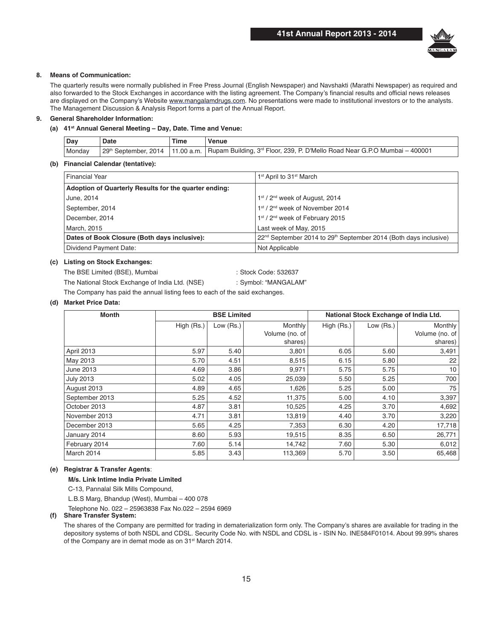

#### 8. Means of Communication:

 The quarterly results were normally published in Free Press Journal (English Newspaper) and Navshakti (Marathi Newspaper) as required and also forwarded to the Stock Exchanges in accordance with the listing agreement. The Company's financial results and official news releases are displayed on the Company's Website www.mangalamdrugs.com. No presentations were made to institutional investors or to the analysts. The Management Discussion & Analysis Report forms a part of the Annual Report.

#### **9.** General Shareholder Information:

#### (a) 41<sup>st</sup> Annual General Meeting - Day, Date. Time and Venue:

| Dav    | Date                 | <b>Time</b> | Venue                                                                                               |
|--------|----------------------|-------------|-----------------------------------------------------------------------------------------------------|
| Monday | 29th September, 2014 |             | 11.00 a.m.   Rupam Building, 3 <sup>rd</sup> Floor, 239, P. D'Mello Road Near G.P.O Mumbai - 400001 |
|        |                      |             |                                                                                                     |

#### (b) Financial Calendar (tentative):

| <b>Financial Year</b>                                 | 1 <sup>st</sup> April to 31 <sup>st</sup> March                                          |
|-------------------------------------------------------|------------------------------------------------------------------------------------------|
| Adoption of Quarterly Results for the quarter ending: |                                                                                          |
| June, 2014                                            | 1st / 2 <sup>nd</sup> week of August, 2014                                               |
| September, 2014                                       | 1st / 2 <sup>nd</sup> week of November 2014                                              |
| December, 2014                                        | 1 <sup>st</sup> / 2 <sup>nd</sup> week of February 2015                                  |
| March, 2015                                           | Last week of May, 2015                                                                   |
| Dates of Book Closure (Both days inclusive):          | 22 <sup>nd</sup> September 2014 to 29 <sup>th</sup> September 2014 (Both days inclusive) |
| Dividend Payment Date:                                | Not Applicable                                                                           |

#### (c) Listing on Stock Exchanges:

The BSE Limited (BSE), Mumbai : Stock Code: 532637 The National Stock Exchange of India Ltd. (NSE) : Symbol: "MANGALAM"

The Company has paid the annual listing fees to each of the said exchanges.

#### (d) Market Price Data:

| <b>Month</b>     | <b>BSE Limited</b> |           |                |            | National Stock Exchange of India Ltd. |                 |
|------------------|--------------------|-----------|----------------|------------|---------------------------------------|-----------------|
|                  | High (Rs.)         | Low (Rs.) | Monthly        | High (Rs.) | Low (Rs.)                             | Monthly         |
|                  |                    |           | Volume (no. of |            |                                       | Volume (no. of  |
|                  |                    |           | shares)        |            |                                       | shares)         |
| April 2013       | 5.97               | 5.40      | 3,801          | 6.05       | 5.60                                  | 3,491           |
| May 2013         | 5.70               | 4.51      | 8,515          | 6.15       | 5.80                                  | 22              |
| June 2013        | 4.69               | 3.86      | 9,971          | 5.75       | 5.75                                  | 10 <sup>1</sup> |
| <b>July 2013</b> | 5.02               | 4.05      | 25,039         | 5.50       | 5.25                                  | 700             |
| August 2013      | 4.89               | 4.65      | 1,626          | 5.25       | 5.00                                  | 75              |
| September 2013   | 5.25               | 4.52      | 11,375         | 5.00       | 4.10                                  | 3,397           |
| October 2013     | 4.87               | 3.81      | 10,525         | 4.25       | 3.70                                  | 4,692           |
| November 2013    | 4.71               | 3.81      | 13,819         | 4.40       | 3.70                                  | 3,220           |
| December 2013    | 5.65               | 4.25      | 7,353          | 6.30       | 4.20                                  | 17,718          |
| January 2014     | 8.60               | 5.93      | 19,515         | 8.35       | 6.50                                  | 26,771          |
| February 2014    | 7.60               | 5.14      | 14,742         | 7.60       | 5.30                                  | 6,012           |
| March 2014       | 5.85               | 3.43      | 113,369        | 5.70       | 3.50                                  | 65,468          |

#### $(e)$  Registrar & Transfer Agents:

**M/s. Link Intime India Private Limited** 

C-13, Pannalal Silk Mills Compound,

L.B.S Marg, Bhandup (West), Mumbai – 400 078

Telephone No. 022 – 25963838 Fax No.022 – 2594 6969

#### (f) Share Transfer System:

 The shares of the Company are permitted for trading in dematerialization form only. The Company's shares are available for trading in the depository systems of both NSDL and CDSL. Security Code No. with NSDL and CDSL is - ISIN No. INE584F01014. About 99.99% shares of the Company are in demat mode as on 31<sup>st</sup> March 2014.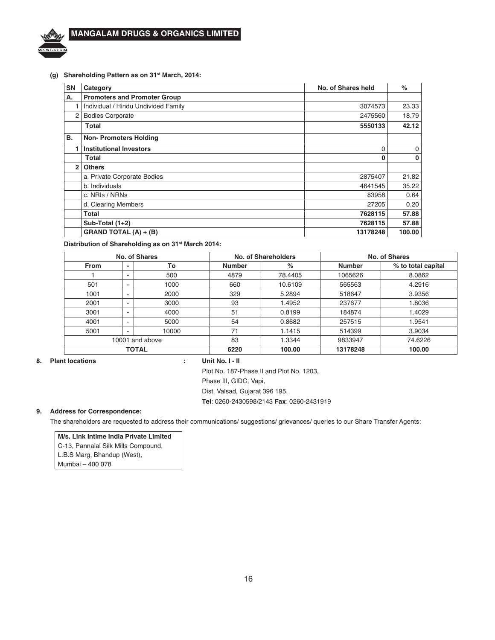### (g) Shareholding Pattern as on 31<sup>st</sup> March, 2014:

| <b>SN</b> | Category                            | No. of Shares held | $\%$        |
|-----------|-------------------------------------|--------------------|-------------|
| А.        | <b>Promoters and Promoter Group</b> |                    |             |
|           | Individual / Hindu Undivided Family | 3074573            | 23.33       |
| 2         | <b>Bodies Corporate</b>             | 2475560            | 18.79       |
|           | <b>Total</b>                        | 5550133            | 42.12       |
| В.        | <b>Non-Promoters Holding</b>        |                    |             |
| 1         | <b>Institutional Investors</b>      | $\Omega$           | 0           |
|           | Total                               | $\Omega$           | $\mathbf 0$ |
| 2         | <b>Others</b>                       |                    |             |
|           | a. Private Corporate Bodies         | 2875407            | 21.82       |
|           | b. Individuals                      | 4641545            | 35.22       |
|           | c. NRIs / NRNs                      | 83958              | 0.64        |
|           | d. Clearing Members                 | 27205              | 0.20        |
|           | Total                               | 7628115            | 57.88       |
|           | Sub-Total $(1+2)$                   | 7628115            | 57.88       |
|           | <b>GRAND TOTAL (A) + (B)</b>        | 13178248           | 100.00      |

Distribution of Shareholding as on 31<sup>st</sup> March 2014:

| No. of Shares      |                                |      |               | No. of Shareholders | No. of Shares |                    |  |
|--------------------|--------------------------------|------|---------------|---------------------|---------------|--------------------|--|
| <b>From</b>        | To<br>-                        |      | <b>Number</b> | $\%$                | <b>Number</b> | % to total capital |  |
|                    | -                              | 500  | 4879          | 78.4405             | 1065626       | 8.0862             |  |
| 501                | ۰                              | 1000 | 660           | 10.6109             | 565563        | 4.2916             |  |
| 1001               | 2000<br>-<br>2001<br>3000<br>- |      | 329           | 5.2894              | 518647        | 3.9356             |  |
|                    |                                |      | 93            | 1.4952              | 237677        | 1.8036             |  |
| 3001               | -                              | 4000 | 51            | 0.8199              | 184874        | 1.4029             |  |
| 4001               | ۰                              |      | 54            | 0.8682              | 257515        | 1.9541             |  |
| 10000<br>5001<br>۰ |                                | 71   |               | 1.1415              | 514399        | 3.9034             |  |
| 10001 and above    |                                | 83   | 1.3344        | 9833947             | 74.6226       |                    |  |
| <b>TOTAL</b>       |                                |      | 6220          | 100.00              | 13178248      | 100.00             |  |

**Plant locations** 8.

### Unit No. I - II

 $\ddot{\phantom{a}}$ 

Plot No. 187-Phase II and Plot No. 1203,

Phase III, GIDC, Vapi,

Dist. Valsad, Gujarat 396 195.

Tel: 0260-2430598/2143 Fax: 0260-2431919

#### 9. **Address for Correspondence:**

The shareholders are requested to address their communications/ suggestions/ grievances/ queries to our Share Transfer Agents:

M/s. Link Intime India Private Limited

C-13, Pannalal Silk Mills Compound, L.B.S Marg, Bhandup (West),

Mumbai - 400 078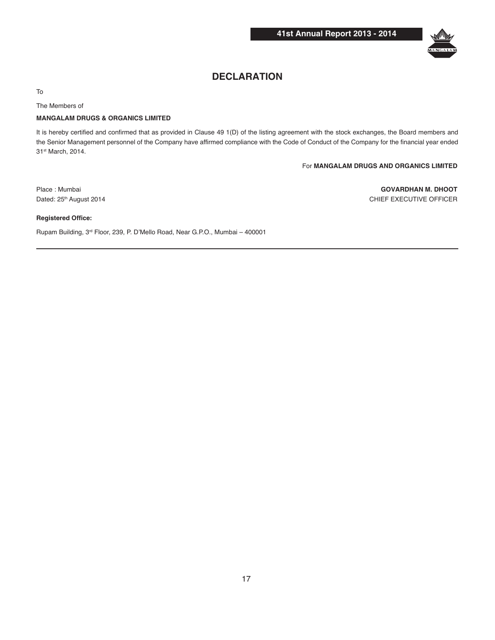

# **DECLARATION**

To

The Members of

#### **MANGALAM DRUGS & ORGANICS LIMITED**

It is hereby certified and confirmed that as provided in Clause 49 1(D) of the listing agreement with the stock exchanges, the Board members and the Senior Management personnel of the Company have affirmed compliance with the Code of Conduct of the Company for the financial year ended 31st March, 2014.

For **MANGALAM DRUGS AND ORGANICS LIMITED**

Place : Mumbai **GOVARDHAN M. DHOOT** Dated: 25<sup>th</sup> August 2014 **CHIEF EXECUTIVE OFFICER** 

#### **Registered Office:**

Rupam Building, 3rd Floor, 239, P. D'Mello Road, Near G.P.O., Mumbai – 400001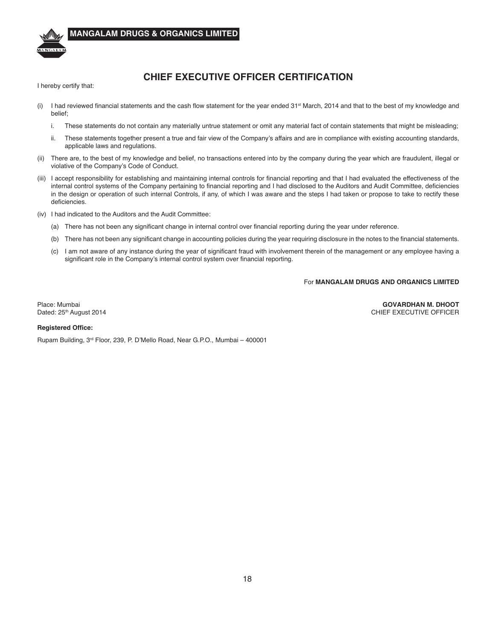

### **MANGALAM DRUGS & ORGANICS LIMITED**

# **CHIEF EXECUTIVE OFFICER CERTIFICATION**

I hereby certify that:

- (i) I had reviewed financial statements and the cash flow statement for the year ended 31<sup>st</sup> March, 2014 and that to the best of my knowledge and belief;
	- i. These statements do not contain any materially untrue statement or omit any material fact of contain statements that might be misleading;
	- ii. These statements together present a true and fair view of the Company's affairs and are in compliance with existing accounting standards, applicable laws and regulations.
- (ii) There are, to the best of my knowledge and belief, no transactions entered into by the company during the year which are fraudulent, illegal or violative of the Company's Code of Conduct.
- (iii) I accept responsibility for establishing and maintaining internal controls for financial reporting and that I had evaluated the effectiveness of the internal control systems of the Company pertaining to financial reporting and I had disclosed to the Auditors and Audit Committee, deficiencies in the design or operation of such internal Controls, if any, of which I was aware and the steps I had taken or propose to take to rectify these deficiencies.
- (iv) I had indicated to the Auditors and the Audit Committee:
	- (a) There has not been any significant change in internal control over financial reporting during the year under reference.
	- (b) There has not been any significant change in accounting policies during the year requiring disclosure in the notes to the financial statements.
	- (c) I am not aware of any instance during the year of significant fraud with involvement therein of the management or any employee having a significant role in the Company's internal control system over financial reporting.

### For **MANGALAM DRUGS AND ORGANICS LIMITED**

Place: Mumbai **GOVARDHAN M. DHOOT** CHIEF EXECUTIVE OFFICER

#### **Registered Office:**

Rupam Building, 3rd Floor, 239, P. D'Mello Road, Near G.P.O., Mumbai – 400001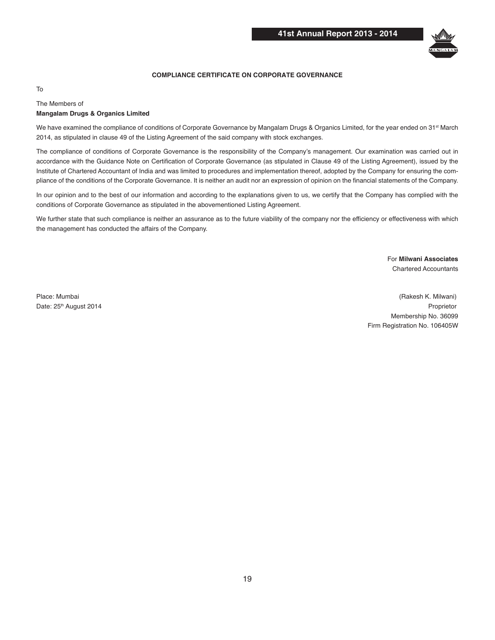

#### **COMPLIANCE CERTIFICATE ON CORPORATE GOVERNANCE**

#### To

#### The Members of **Mangalam Drugs & Organics Limited**

We have examined the compliance of conditions of Corporate Governance by Mangalam Drugs & Organics Limited, for the year ended on 31<sup>st</sup> March 2014, as stipulated in clause 49 of the Listing Agreement of the said company with stock exchanges.

The compliance of conditions of Corporate Governance is the responsibility of the Company's management. Our examination was carried out in accordance with the Guidance Note on Certification of Corporate Governance (as stipulated in Clause 49 of the Listing Agreement), issued by the Institute of Chartered Accountant of India and was limited to procedures and implementation thereof, adopted by the Company for ensuring the compliance of the conditions of the Corporate Governance. It is neither an audit nor an expression of opinion on the financial statements of the Company.

In our opinion and to the best of our information and according to the explanations given to us, we certify that the Company has complied with the conditions of Corporate Governance as stipulated in the abovementioned Listing Agreement.

We further state that such compliance is neither an assurance as to the future viability of the company nor the efficiency or effectiveness with which the management has conducted the affairs of the Company.

> **For Milwani Associates** Chartered Accountants

Place: Mumbai (Rakesh K. Milwani) Date: 25th August 2014 Proprietor Membership No. 36099 Firm Registration No. 106405W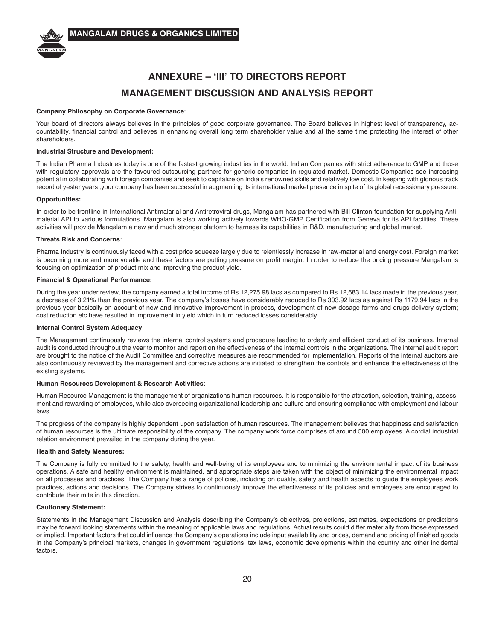

# **ANNEXURE - 'III' TO DIRECTORS REPORT MANAGEMENT DISCUSSION AND ANALYSIS REPORT**

#### **Company Philosophy on Corporate Governance:**

Your board of directors always believes in the principles of good corporate governance. The Board believes in highest level of transparency, accountability, financial control and believes in enhancing overall long term shareholder value and at the same time protecting the interest of other shareholders.

#### **Industrial Structure and Development:**

The Indian Pharma Industries today is one of the fastest growing industries in the world. Indian Companies with strict adherence to GMP and those with regulatory approvals are the favoured outsourcing partners for generic companies in regulated market. Domestic Companies see increasing potential in collaborating with foreign companies and seek to capitalize on India's renowned skills and relatively low cost. In keeping with glorious track record of yester years ,your company has been successful in augmenting its international market presence in spite of its global recessionary pressure.

#### **Opportunities:**

In order to be frontline in International Antimalarial and Antiretroviral drugs, Mangalam has partnered with Bill Clinton foundation for supplying Antimalerial API to various formulations. Mangalam is also working actively towards WHO-GMP Certification from Geneva for its API facilities. These activities will provide Mangalam a new and much stronger platform to harness its capabilities in R&D, manufacturing and global market.

#### **Threats Risk and Concerns:**

Pharma Industry is continuously faced with a cost price squeeze largely due to relentlessly increase in raw-material and energy cost. Foreign market is becoming more and more volatile and these factors are putting pressure on profit margin. In order to reduce the pricing pressure Mangalam is focusing on optimization of product mix and improving the product yield.

#### **Financial & Operational Performance:**

During the year under review, the company earned a total income of Rs 12,275.98 lacs as compared to Rs 12,683.14 lacs made in the previous year, a decrease of 3.21% than the previous year. The company's losses have considerably reduced to Rs 303.92 lacs as against Rs 1179.94 lacs in the previous year basically on account of new and innovative improvement in process, development of new dosage forms and drugs delivery system; cost reduction etc have resulted in improvement in yield which in turn reduced losses considerably.

#### **Internal Control System Adequacy:**

The Management continuously reviews the internal control systems and procedure leading to orderly and efficient conduct of its business. Internal audit is conducted throughout the year to monitor and report on the effectiveness of the internal controls in the organizations. The internal audit report are brought to the notice of the Audit Committee and corrective measures are recommended for implementation. Reports of the internal auditors are also continuously reviewed by the management and corrective actions are initiated to strengthen the controls and enhance the effectiveness of the existing systems.

#### **Human Resources Development & Research Activities:**

Human Resource Management is the management of organizations human resources. It is responsible for the attraction, selection, training, assessment and rewarding of employees, while also overseeing organizational leadership and culture and ensuring compliance with employment and labour laws.

The progress of the company is highly dependent upon satisfaction of human resources. The management believes that happiness and satisfaction of human resources is the ultimate responsibility of the company. The company work force comprises of around 500 employees. A cordial industrial relation environment prevailed in the company during the year.

#### **Health and Safety Measures:**

The Company is fully committed to the safety, health and well-being of its employees and to minimizing the environmental impact of its business operations. A safe and healthy environment is maintained, and appropriate steps are taken with the object of minimizing the environmental impact on all processes and practices. The Company has a range of policies, including on quality, safety and health aspects to guide the employees work practices, actions and decisions. The Company strives to continuously improve the effectiveness of its policies and employees are encouraged to contribute their mite in this direction.

#### **Cautionary Statement:**

Statements in the Management Discussion and Analysis describing the Company's objectives, projections, estimates, expectations or predictions may be forward looking statements within the meaning of applicable laws and regulations. Actual results could differ materially from those expressed or implied. Important factors that could influence the Company's operations include input availability and prices, demand and pricing of finished goods in the Company's principal markets, changes in government regulations, tax laws, economic developments within the country and other incidental factors.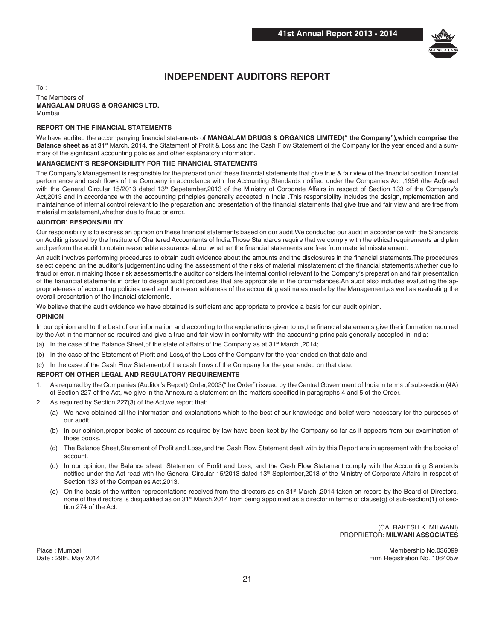

# **INDEPENDENT AUDITORS REPORT**

 $To:$ The Members of **MANGALAM DRUGS & ORGANICS LTD.** Mumbai

### **REPORT ON THE FINANCIAL STATEMENTS**

We have audited the accompanying financial statements of MANGALAM DRUGS & ORGANICS LIMITED("the Company"),which comprise the Balance sheet as at 31<sup>st</sup> March, 2014, the Statement of Profit & Loss and the Cash Flow Statement of the Company for the year ended, and a summary of the significant accounting policies and other explanatory information.

#### **MANAGEMENT'S RESPONSIBILITY FOR THE FINANCIAL STATEMENTS**

The Company's Management is responsible for the preparation of these financial statements that give true & fair view of the financial position,financial performance and cash flows of the Company in accordance with the Accounting Standards notified under the Companies Act ,1956 (the Act)read with the General Circular 15/2013 dated 13<sup>th</sup> Sepetember,2013 of the Ministry of Corporate Affairs in respect of Section 133 of the Company's Act,2013 and in accordance with the accounting principles generally accepted in India .This responsibility includes the design,implementation and maintainence of internal control relevant to the preparation and presentation of the financial statements that give true and fair view and are free from material misstatement,whether due to fraud or error.

#### **AUDITOR' RESPONSIBILITY**

Our responsibility is to express an opinion on these financial statements based on our audit.We conducted our audit in accordance with the Standards on Auditing issued by the Institute of Chartered Accountants of India.Those Standards require that we comply with the ethical requirements and plan and perform the audit to obtain reasonable assurance about whether the financial statements are free from material misstatement.

An audit involves performing procedures to obtain audit evidence about the amounts and the disclosures in the financial statements.The procedures select depend on the auditor's judgement,including the assessment of the risks of material misstatement of the financial statements,whether due to fraud or error.In making those risk assessments,the auditor considers the internal control relevant to the Company's preparation and fair presentation of the fianancial statements in order to design audit procedures that are appropriate in the circumstances.An audit also includes evaluating the appropriateness of accounting policies used and the reasonableness of the accounting estimates made by the Management,as well as evaluating the overall presentation of the financial statements.

We believe that the audit evidence we have obtained is sufficient and appropriate to provide a basis for our audit opinion.

#### **OPINION**

In our opinion and to the best of our information and according to the explanations given to us,the financial statements give the information required by the Act in the manner so required and give a true and fair view in conformity with the accounting principals generally accepted in India:

- (a) In the case of the Balance Sheet, of the state of affairs of the Company as at  $31^{st}$  March , 2014;
- (b) In the case of the Statement of Profit and Loss,of the Loss of the Company for the year ended on that date,and
- (c) In the case of the Cash Flow Statement,of the cash flows of the Company for the year ended on that date.

#### **REPORT ON OTHER LEGAL AND REGULATORY REQUIREMENTS**

- 1. As required by the Companies (Auditor's Report) Order,2003("the Order") issued by the Central Government of India in terms of sub-section (4A) of Section 227 of the Act, we give in the Annexure a statement on the matters specified in paragraphs 4 and 5 of the Order.
- 2. As required by Section 227(3) of the Act,we report that:
	- (a) We have obtained all the information and explanations which to the best of our knowledge and belief were necessary for the purposes of our audit.
	- (b) In our opinion,proper books of account as required by law have been kept by the Company so far as it appears from our examination of those books.
	- (c) The Balance Sheet,Statement of Profit and Loss,and the Cash Flow Statement dealt with by this Report are in agreement with the books of account.
	- (d) In our opinion, the Balance sheet, Statement of Profit and Loss, and the Cash Flow Statement comply with the Accounting Standards notified under the Act read with the General Circular 15/2013 dated 13<sup>th</sup> September,2013 of the Ministry of Corporate Affairs in respect of Section 133 of the Companies Act,2013.
	- (e) On the basis of the written representations received from the directors as on 31<sup>st</sup> March ,2014 taken on record by the Board of Directors, none of the directors is disqualified as on 31<sup>st</sup> March,2014 from being appointed as a director in terms of clause(g) of sub-section(1) of section 274 of the Act.

 (CA. RAKESH K. MILWANI) PROPRIETOR: **MILWANI ASSOCIATES**

Place : Mumbai Membership No.036099 Date : 29th, May 2014 Firm Registration No. 106405w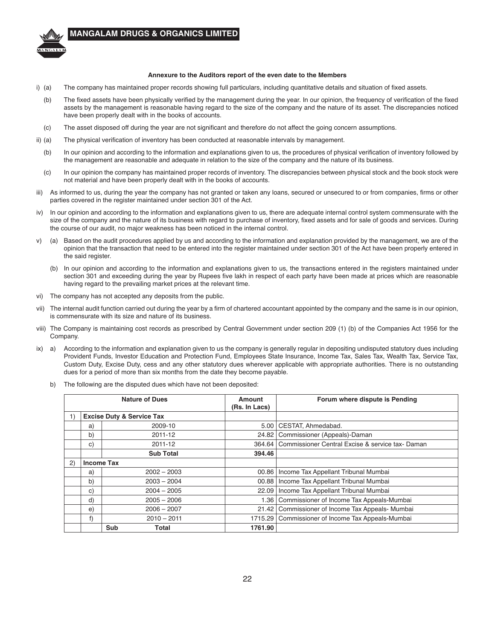

#### Annexure to the Auditors report of the even date to the Members

- i) (a) The company has maintained proper records showing full particulars, including quantitative details and situation of fixed assets.
- (b) The fixed assets have been physically verified by the management during the year. In our opinion, the frequency of verification of the fixed assets by the management is reasonable having regard to the size of the company and the nature of its asset. The discrepancies noticed have been properly dealt with in the books of accounts.
- (c) The asset disposed off during the year are not significant and therefore do not affect the going concern assumptions.
- ii) (a) The physical verification of inventory has been conducted at reasonable intervals by management.
	- (b) In our opinion and according to the information and explanations given to us, the procedures of physical verification of inventory followed by the management are reasonable and adequate in relation to the size of the company and the nature of its business.
	- (c) In our opinion the company has maintained proper records of inventory. The discrepancies between physical stock and the book stock were not material and have been properly dealt with in the books of accounts.
- iii) As informed to us, during the year the company has not granted or taken any loans, secured or unsecured to or from companies, firms or other parties covered in the register maintained under section 301 of the Act.
- iv) In our opinion and according to the information and explanations given to us, there are adequate internal control system commensurate with the size of the company and the nature of its business with regard to purchase of inventory, fixed assets and for sale of goods and services. During the course of our audit, no major weakness has been noticed in the internal control.
- v) (a) Based on the audit procedures applied by us and according to the information and explanation provided by the management, we are of the opinion that the transaction that need to be entered into the register maintained under section 301 of the Act have been properly entered in the said register.
	- (b) In our opinion and according to the information and explanations given to us, the transactions entered in the registers maintained under section 301 and exceeding during the year by Rupees five lakh in respect of each party have been made at prices which are reasonable having regard to the prevailing market prices at the relevant time.
- vi) The company has not accepted any deposits from the public.
- vii) The internal audit function carried out during the year by a firm of chartered accountant appointed by the company and the same is in our opinion, is commensurate with its size and nature of its business.
- viii) The Company is maintaining cost records as prescribed by Central Government under section 209 (1) (b) of the Companies Act 1956 for the Company.
- ix) a) According to the information and explanation given to us the company is generally regular in depositing undisputed statutory dues including Provident Funds, Investor Education and Protection Fund, Employees State Insurance, Income Tax, Sales Tax, Wealth Tax, Service Tax, Custom Duty, Excise Duty, cess and any other statutory dues wherever applicable with appropriate authorities. There is no outstanding dues for a period of more than six months from the date they become payable.
	- b) The following are the disputed dues which have not been deposited:

|    |                     | <b>Nature of Dues</b>                | Amount<br>(Rs. In Lacs) | Forum where dispute is Pending                  |
|----|---------------------|--------------------------------------|-------------------------|-------------------------------------------------|
|    |                     | <b>Excise Duty &amp; Service Tax</b> |                         |                                                 |
|    | a)                  | 2009-10                              | 5.00                    | CESTAT, Ahmedabad.                              |
|    | b)                  | 2011-12                              | 24.82                   | Commissioner (Appeals)-Daman                    |
|    | 2011-12<br>C)       |                                      | 364.64                  | Commissioner Central Excise & service tax-Daman |
|    |                     | <b>Sub Total</b>                     | 394.46                  |                                                 |
| 2) | <b>Income Tax</b>   |                                      |                         |                                                 |
|    | a)                  | $2002 - 2003$                        |                         | 00.86   Income Tax Appellant Tribunal Mumbai    |
|    | b)                  | $2003 - 2004$                        |                         | 00.88   Income Tax Appellant Tribunal Mumbai    |
|    | C)                  | $2004 - 2005$                        | 22.09                   | Income Tax Appellant Tribunal Mumbai            |
|    | d)                  | $2005 - 2006$                        | 1.36                    | Commissioner of Income Tax Appeals-Mumbai       |
|    | $2006 - 2007$<br>e) |                                      | 21.42                   | Commissioner of Income Tax Appeals- Mumbai      |
|    | f                   | $2010 - 2011$                        | 1715.29                 | Commissioner of Income Tax Appeals-Mumbai       |
|    |                     | Sub<br>Total                         | 1761.90                 |                                                 |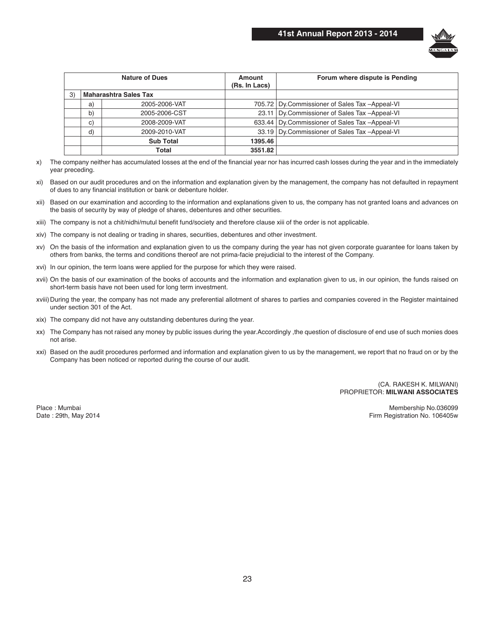

| <b>Nature of Dues</b> |    |                              | Amount<br>(Rs. In Lacs) | Forum where dispute is Pending                   |
|-----------------------|----|------------------------------|-------------------------|--------------------------------------------------|
| 3)                    |    | <b>Maharashtra Sales Tax</b> |                         |                                                  |
|                       | a) | 2005-2006-VAT                |                         | 705.72   Dy.Commissioner of Sales Tax -Appeal-VI |
|                       | b) | 2005-2006-CST                |                         | 23.11 Dy.Commissioner of Sales Tax -Appeal-VI    |
|                       | C) | 2008-2009-VAT                |                         | 633.44   Dy.Commissioner of Sales Tax -Appeal-VI |
|                       | d) | 2009-2010-VAT                |                         | 33.19 Dy.Commissioner of Sales Tax -Appeal-VI    |
|                       |    | <b>Sub Total</b>             | 1395.46                 |                                                  |
|                       |    | Total                        | 3551.82                 |                                                  |

x) The company neither has accumulated losses at the end of the financial year nor has incurred cash losses during the year and in the immediately year preceding.

- xi) Based on our audit procedures and on the information and explanation given by the management, the company has not defaulted in repayment of dues to any financial institution or bank or debenture holder.
- xii) Based on our examination and according to the information and explanations given to us, the company has not granted loans and advances on the basis of security by way of pledge of shares, debentures and other securities.
- xiii) The company is not a chit/nidhi/mutul benefit fund/society and therefore clause xiii of the order is not applicable.
- xiv) The company is not dealing or trading in shares, securities, debentures and other investment.
- xv) On the basis of the information and explanation given to us the company during the year has not given corporate guarantee for loans taken by others from banks, the terms and conditions thereof are not prima-facie prejudicial to the interest of the Company.
- xvi) In our opinion, the term loans were applied for the purpose for which they were raised.
- xvii) On the basis of our examination of the books of accounts and the information and explanation given to us, in our opinion, the funds raised on short-term basis have not been used for long term investment.
- xviii) During the year, the company has not made any preferential allotment of shares to parties and companies covered in the Register maintained under section 301 of the Act.
- xix) The company did not have any outstanding debentures during the year.
- xx) The Company has not raised any money by public issues during the year.Accordingly ,the question of disclosure of end use of such monies does not arise.
- xxi) Based on the audit procedures performed and information and explanation given to us by the management, we report that no fraud on or by the Company has been noticed or reported during the course of our audit.

 (CA. RAKESH K. MILWANI) PROPRIETOR: **MILWANI ASSOCIATES**

Place : Mumbai Membership No.036099 Date : 29th, May 2014 Firm Registration No. 106405w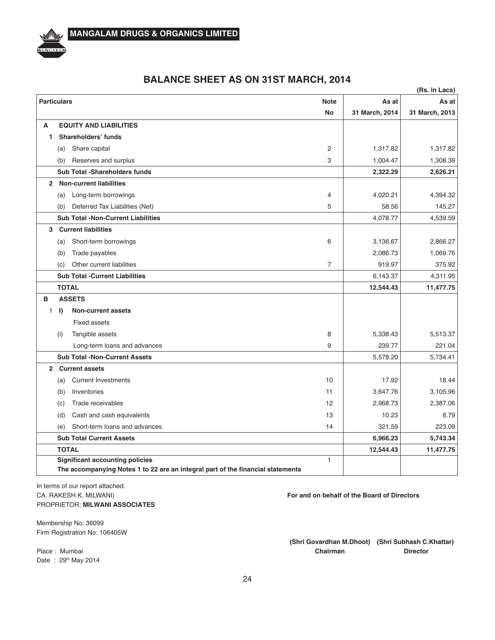

| <b>Particulars</b> |              |                                           | <b>Note</b>    | As at          | As at          |
|--------------------|--------------|-------------------------------------------|----------------|----------------|----------------|
|                    |              |                                           | <b>No</b>      | 31 March, 2014 | 31 March, 2013 |
| A                  |              | <b>EQUITY AND LIABILITIES</b>             |                |                |                |
|                    |              | Shareholders' funds                       |                |                |                |
|                    | (a)          | Share capital                             | $\overline{2}$ | 1,317.82       | 1,317.82       |
|                    | (b)          | Reserves and surplus                      | 3              | 1,004.47       | 1,308.39       |
|                    |              | Sub Total -Shareholders funds             |                | 2,322.29       | 2,626.21       |
| $\overline{2}$     |              | <b>Non-current liabilities</b>            |                |                |                |
|                    | (a)          | Long-term borrowings                      | 4              | 4,020.21       | 4,394.32       |
|                    | (b)          | Deferred Tax Liabilities (Net)            | 5              | 58.56          | 145.27         |
|                    |              | <b>Sub Total -Non-Current Liabilities</b> |                | 4,078.77       | 4,539.59       |
| 3                  |              | <b>Current liabilities</b>                |                |                |                |
|                    | (a)          | Short-term borrowings                     | 6              | 3,136.67       | 2,866.27       |
|                    | (b)          | Trade payables                            |                | 2,086.73       | 1,069.76       |
|                    | (c)          | Other current liabilities                 | $\overline{7}$ | 919.97         | 375.92         |
|                    |              | <b>Sub Total - Current Liabilities</b>    |                | 6,143.37       | 4,311.95       |
|                    | <b>TOTAL</b> |                                           |                | 12,544.43      | 11,477.75      |
| в                  |              | <b>ASSETS</b>                             |                |                |                |
| 1.                 | I)           | <b>Non-current assets</b>                 |                |                |                |
|                    |              | <b>Fixed assets</b>                       |                |                |                |
|                    |              | $\cdots$                                  |                |                |                |

# **BALANCE SHEET AS ON 31ST MARCH, 2014**

(i) Tangible assets  $\begin{array}{cccc} 8 & | & 5,338.43 & | & 5,513.37 \end{array}$ Long-term loans and advances and advances and advances and advances and advances and advances and advances and  $\frac{9}{239.77}$  221.04 **Sub Total -Non-Current Assets** 5,578.20 5,734.41 **2 Current assets** (a) Current Investments  $10\left| \right|$  17.92 18.44 (b) Inventories 3,105.96  $\overline{3,647.76}$  3,105.96 (c) Trade receivables 2,988.73 2,387.06 (d) Cash and cash equivalents 13 10.23 8.79 (e) Short-term loans and advances  $\begin{array}{ccc} 14 & | & 321.59 & 223.09 \end{array}$ **Sub Total Current Assets 5,743.34 6,966.23** 5,743.34 **TOTAL 12,544.43 11,477.75 Significant accounting policies** 1 The accompanying Notes 1 to 22 are an integral part of the financial statements

In terms of our report attached. PROPRIETOR: **MILWANI ASSOCIATES**

CA. RAKESH K. MILWANI) **CA. RAKESH K. MILWANI**)

Membership No: 36099 Firm Registration No: 106405W

Date: 29th May 2014

(Shri Govardhan M.Dhoot) (Shri Subhash C.Khattar) Place : Mumbai **Director Chairman Chairman Chairman Director** 

**(Rs. in Lacs)**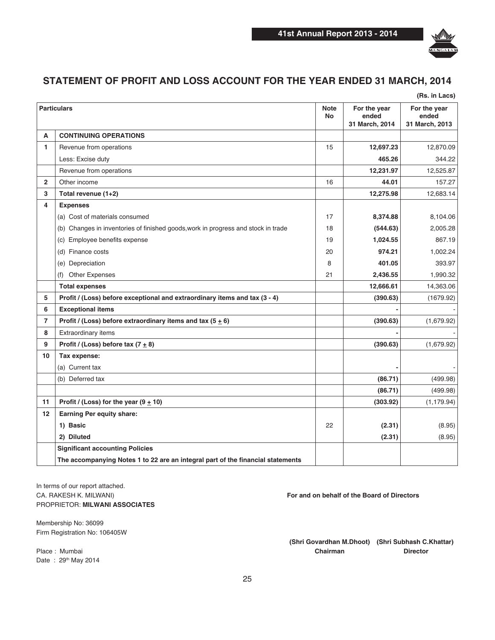

# **STATEMENT OF PROFIT AND LOSS ACCOUNT FOR THE YEAR ENDED 31 MARCH, 2014**

|                         |                                                                                   |                          |                                         | (Rs. in Lacs)                           |
|-------------------------|-----------------------------------------------------------------------------------|--------------------------|-----------------------------------------|-----------------------------------------|
|                         | <b>Particulars</b>                                                                | <b>Note</b><br><b>No</b> | For the year<br>ended<br>31 March, 2014 | For the year<br>ended<br>31 March, 2013 |
| A                       | <b>CONTINUING OPERATIONS</b>                                                      |                          |                                         |                                         |
| $\mathbf{1}$            | Revenue from operations                                                           | 15                       | 12,697.23                               | 12,870.09                               |
|                         | Less: Excise duty                                                                 |                          | 465.26                                  | 344.22                                  |
|                         | Revenue from operations                                                           |                          | 12,231.97                               | 12,525.87                               |
| $\overline{\mathbf{2}}$ | Other income                                                                      | 16                       | 44.01                                   | 157.27                                  |
| 3                       | Total revenue (1+2)                                                               |                          | 12,275.98                               | 12,683.14                               |
| 4                       | <b>Expenses</b>                                                                   |                          |                                         |                                         |
|                         | (a) Cost of materials consumed                                                    | 17                       | 8,374.88                                | 8,104.06                                |
|                         | (b) Changes in inventories of finished goods, work in progress and stock in trade | 18                       | (544.63)                                | 2,005.28                                |
|                         | (c) Employee benefits expense                                                     | 19                       | 1,024.55                                | 867.19                                  |
|                         | (d) Finance costs                                                                 | 20                       | 974.21                                  | 1,002.24                                |
|                         | (e) Depreciation                                                                  | 8                        | 401.05                                  | 393.97                                  |
|                         | <b>Other Expenses</b><br>(f)                                                      | 21                       | 2,436.55                                | 1,990.32                                |
|                         | <b>Total expenses</b>                                                             |                          | 12,666.61                               | 14,363.06                               |
| 5                       | Profit / (Loss) before exceptional and extraordinary items and tax (3 - 4)        |                          | (390.63)                                | (1679.92)                               |
| 6                       | <b>Exceptional items</b>                                                          |                          |                                         |                                         |
| $\overline{7}$          | Profit / (Loss) before extraordinary items and tax $(5 + 6)$                      |                          | (390.63)                                | (1,679.92)                              |
| 8                       | Extraordinary items                                                               |                          |                                         |                                         |
| 9                       | Profit / (Loss) before tax $(7 \pm 8)$                                            |                          | (390.63)                                | (1,679.92)                              |
| 10                      | Tax expense:                                                                      |                          |                                         |                                         |
|                         | (a) Current tax                                                                   |                          |                                         |                                         |
|                         | (b) Deferred tax                                                                  |                          | (86.71)                                 | (499.98)                                |
|                         |                                                                                   |                          | (86.71)                                 | (499.98)                                |
| 11                      | Profit / (Loss) for the year $(9 \pm 10)$                                         |                          | (303.92)                                | (1, 179.94)                             |
| 12                      | <b>Earning Per equity share:</b>                                                  |                          |                                         |                                         |
|                         | 1) Basic                                                                          | 22                       | (2.31)                                  | (8.95)                                  |
|                         | 2) Diluted                                                                        |                          | (2.31)                                  | (8.95)                                  |
|                         | <b>Significant accounting Policies</b>                                            |                          |                                         |                                         |
|                         | The accompanying Notes 1 to 22 are an integral part of the financial statements   |                          |                                         |                                         |

In terms of our report attached. PROPRIETOR: **MILWANI ASSOCIATES**

Membership No: 36099 Firm Registration No: 106405W

Date: 29<sup>th</sup> May 2014

CA. RAKESH K. MILWANI) **CA. RAKESH K. MILWANI**)

(Shri Govardhan M.Dhoot) (Shri Subhash C.Khattar) Place : Mumbai **Director Chairman Chairman Chairman Director**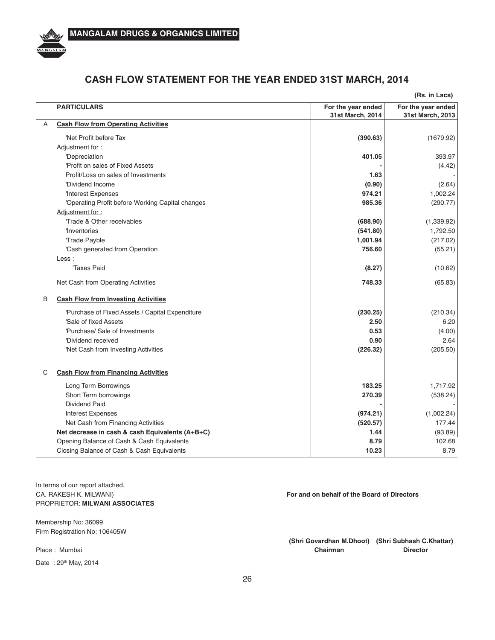

# **CASH FLOW STATEMENT FOR THE YEAR ENDED 31ST MARCH, 2014**

|                                                  |                                        | (Rs. in Lacs)                          |
|--------------------------------------------------|----------------------------------------|----------------------------------------|
| <b>PARTICULARS</b>                               | For the year ended<br>31st March, 2014 | For the year ended<br>31st March, 2013 |
| <b>Cash Flow from Operating Activities</b><br>A  |                                        |                                        |
| 'Net Profit before Tax                           | (390.63)                               | (1679.92)                              |
| Adjustment for:                                  |                                        |                                        |
| 'Depreciation                                    | 401.05                                 | 393.97                                 |
| 'Profit on sales of Fixed Assets                 |                                        | (4.42)                                 |
| Profit/Loss on sales of Investments              | 1.63                                   |                                        |
| 'Dividend Income                                 | (0.90)                                 | (2.64)                                 |
| 'Interest Expenses                               | 974.21                                 | 1,002.24                               |
| 'Operating Profit before Working Capital changes | 985.36                                 | (290.77)                               |
| Adjustment for:                                  |                                        |                                        |
| 'Trade & Other receivables                       | (688.90)                               | (1,339.92)                             |
| 'Inventories                                     | (541.80)                               | 1,792.50                               |
| 'Trade Payble                                    | 1,001.94                               | (217.02)                               |
| 'Cash generated from Operation                   | 756.60                                 | (55.21)                                |
| Less:                                            |                                        |                                        |
| Taxes Paid                                       | (8.27)                                 | (10.62)                                |
| Net Cash from Operating Activities               | 748.33                                 | (65.83)                                |
| B<br><b>Cash Flow from Investing Activities</b>  |                                        |                                        |
| 'Purchase of Fixed Assets / Capital Expenditure  | (230.25)                               | (210.34)                               |
| 'Sale of fixed Assets                            | 2.50                                   | 6.20                                   |
| 'Purchase/ Sale of Investments                   | 0.53                                   | (4.00)                                 |
| 'Dividend received                               | 0.90                                   | 2.64                                   |
| 'Net Cash from Investing Activities              | (226.32)                               | (205.50)                               |
| <b>Cash Flow from Financing Activities</b><br>С  |                                        |                                        |
| Long Term Borrowings                             | 183.25                                 | 1,717.92                               |
| Short Term borrowings                            | 270.39                                 | (538.24)                               |
| <b>Dividend Paid</b>                             |                                        |                                        |
| <b>Interest Expenses</b>                         | (974.21)                               | (1,002.24)                             |
| Net Cash from Financing Activities               | (520.57)                               | 177.44                                 |
| Net decrease in cash & cash Equivalents (A+B+C)  | 1.44                                   | (93.89)                                |
| Opening Balance of Cash & Cash Equivalents       | 8.79                                   | 102.68                                 |
| Closing Balance of Cash & Cash Equivalents       | 10.23                                  | 8.79                                   |

In terms of our report attached. PROPRIETOR: **MILWANI ASSOCIATES**

Membership No: 36099 Firm Registration No: 106405W

Date: 29th May, 2014

CA. RAKESH K. MILWANI) **CA. RAKESH K. MILWANI**)

(Shri Govardhan M.Dhoot) (Shri Subhash C.Khattar) Place : Mumbai **Director Chairman Chairman Director**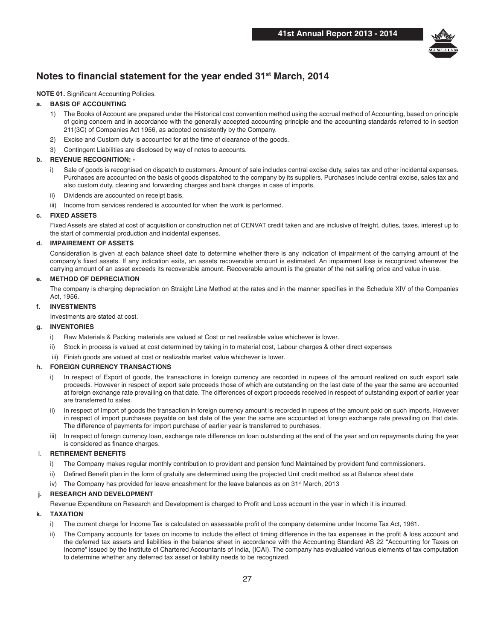

# **Notes to financial statement for the year ended 31<sup>st</sup> March, 2014**

#### **NOTE 01.** Significant Accounting Policies.

#### **a. BASIS OF ACCOUNTING**

- 1) The Books of Account are prepared under the Historical cost convention method using the accrual method of Accounting, based on principle of going concern and in accordance with the generally accepted accounting principle and the accounting standards referred to in section 211(3C) of Companies Act 1956, as adopted consistently by the Company.
- 2) Excise and Custom duty is accounted for at the time of clearance of the goods.
- 3) Contingent Liabilities are disclosed by way of notes to accounts.

#### **b.** REVENUE RECOGNITION: -

- i) Sale of goods is recognised on dispatch to customers. Amount of sale includes central excise duty, sales tax and other incidental expenses. Purchases are accounted on the basis of goods dispatched to the company by its suppliers. Purchases include central excise, sales tax and also custom duty, clearing and forwarding charges and bank charges in case of imports.
- ii) Dividends are accounted on receipt basis.
- iii) Income from services rendered is accounted for when the work is performed.

#### **c. FIXED ASSETS**

 Fixed Assets are stated at cost of acquisition or construction net of CENVAT credit taken and are inclusive of freight, duties, taxes, interest up to the start of commercial production and incidental expenses.

#### **;4 IMPAIREMENT OF ASSETS**

 Consideration is given at each balance sheet date to determine whether there is any indication of impairment of the carrying amount of the company's fixed assets. If any indication exits, an assets recoverable amount is estimated. An impairment loss is recognized whenever the carrying amount of an asset exceeds its recoverable amount. Recoverable amount is the greater of the net selling price and value in use.

#### **e.** METHOD OF DEPRECIATION

 The company is charging depreciation on Straight Line Method at the rates and in the manner specifies in the Schedule XIV of the Companies Act, 1956.

#### **f.** INVESTMENTS

Investments are stated at cost.

#### **a. INVENTORIES**

- i) Raw Materials & Packing materials are valued at Cost or net realizable value whichever is lower.
- ii) Stock in process is valued at cost determined by taking in to material cost, Labour charges & other direct expenses
- iii) Finish goods are valued at cost or realizable market value whichever is lower.

#### **h. FOREIGN CURRENCY TRANSACTIONS**

- i) In respect of Export of goods, the transactions in foreign currency are recorded in rupees of the amount realized on such export sale proceeds. However in respect of export sale proceeds those of which are outstanding on the last date of the year the same are accounted at foreign exchange rate prevailing on that date. The differences of export proceeds received in respect of outstanding export of earlier year are transferred to sales.
- ii) In respect of Import of goods the transaction in foreign currency amount is recorded in rupees of the amount paid on such imports. However in respect of import purchases payable on last date of the year the same are accounted at foreign exchange rate prevailing on that date. The difference of payments for import purchase of earlier year is transferred to purchases.
- iii) In respect of foreign currency loan, exchange rate difference on loan outstanding at the end of the year and on repayments during the year is considered as finance charges.

#### I. **RETIREMENT BENEFITS**

- i) The Company makes regular monthly contribution to provident and pension fund Maintained by provident fund commissioners.
- ii) Defined Benefit plan in the form of gratuity are determined using the projected Unit credit method as at Balance sheet date
- iv) The Company has provided for leave encashment for the leave balances as on  $31<sup>st</sup>$  March, 2013

#### **j. RESEARCH AND DEVELOPMENT**

Revenue Expenditure on Research and Development is charged to Profit and Loss account in the year in which it is incurred.

#### **k. TAXATION**

- i) The current charge for Income Tax is calculated on assessable profit of the company determine under Income Tax Act, 1961.
- ii) The Company accounts for taxes on income to include the effect of timing difference in the tax expenses in the profit & loss account and the deferred tax assets and liabilities in the balance sheet in accordance with the Accounting Standard AS 22 "Accounting for Taxes on Income" issued by the Institute of Chartered Accountants of India, (ICAI). The company has evaluated various elements of tax computation to determine whether any deferred tax asset or liability needs to be recognized.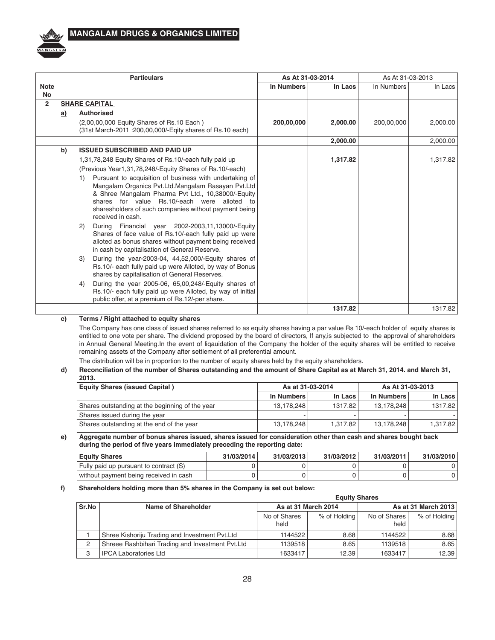

|                          |    | <b>Particulars</b>                                                                                                                                                                                                                                                                                                                                                                                                                                                                                                                                                                                                                                                                                                                                                                                                                                                                                                                                                   | As At 31-03-2014  |          |            | As At 31-03-2013 |  |
|--------------------------|----|----------------------------------------------------------------------------------------------------------------------------------------------------------------------------------------------------------------------------------------------------------------------------------------------------------------------------------------------------------------------------------------------------------------------------------------------------------------------------------------------------------------------------------------------------------------------------------------------------------------------------------------------------------------------------------------------------------------------------------------------------------------------------------------------------------------------------------------------------------------------------------------------------------------------------------------------------------------------|-------------------|----------|------------|------------------|--|
| <b>Note</b><br><b>No</b> |    |                                                                                                                                                                                                                                                                                                                                                                                                                                                                                                                                                                                                                                                                                                                                                                                                                                                                                                                                                                      | <b>In Numbers</b> | In Lacs  | In Numbers | In Lacs          |  |
| $\overline{2}$           |    | <b>SHARE CAPITAL</b>                                                                                                                                                                                                                                                                                                                                                                                                                                                                                                                                                                                                                                                                                                                                                                                                                                                                                                                                                 |                   |          |            |                  |  |
|                          | a) | <b>Authorised</b>                                                                                                                                                                                                                                                                                                                                                                                                                                                                                                                                                                                                                                                                                                                                                                                                                                                                                                                                                    |                   |          |            |                  |  |
|                          |    | (2,00,00,000 Equity Shares of Rs.10 Each)<br>(31st March-2011 : 200,00,000/-Egity shares of Rs.10 each)                                                                                                                                                                                                                                                                                                                                                                                                                                                                                                                                                                                                                                                                                                                                                                                                                                                              | 200,00,000        | 2,000.00 | 200,00,000 | 2,000.00         |  |
|                          |    |                                                                                                                                                                                                                                                                                                                                                                                                                                                                                                                                                                                                                                                                                                                                                                                                                                                                                                                                                                      |                   | 2,000.00 |            | 2,000.00         |  |
|                          | b) | <b>ISSUED SUBSCRIBED AND PAID UP</b>                                                                                                                                                                                                                                                                                                                                                                                                                                                                                                                                                                                                                                                                                                                                                                                                                                                                                                                                 |                   |          |            |                  |  |
|                          |    | 1,31,78,248 Equity Shares of Rs.10/-each fully paid up<br>(Previous Year1,31,78,248/-Equity Shares of Rs.10/-each)<br>Pursuant to acquisition of business with undertaking of<br>1)<br>Mangalam Organics Pvt.Ltd.Mangalam Rasayan Pvt.Ltd<br>& Shree Mangalam Pharma Pvt Ltd., 10,38000/-Equity<br>shares for value Rs.10/-each were alloted to<br>sharesholders of such companies without payment being<br>received in cash.<br>During Financial year 2002-2003,11,13000/-Equity<br>(2)<br>Shares of face value of Rs.10/-each fully paid up were<br>alloted as bonus shares without payment being received<br>in cash by capitalisation of General Reserve.<br>During the year-2003-04, 44,52,000/-Equity shares of<br>3)<br>Rs.10/- each fully paid up were Alloted, by way of Bonus<br>shares by capitalisation of General Reserves.<br>During the year 2005-06, 65,00,248/-Equity shares of<br>4)<br>Rs.10/- each fully paid up were Alloted, by way of initial |                   | 1,317.82 |            | 1,317.82         |  |
|                          |    | public offer, at a premium of Rs.12/-per share.                                                                                                                                                                                                                                                                                                                                                                                                                                                                                                                                                                                                                                                                                                                                                                                                                                                                                                                      |                   |          |            |                  |  |
|                          |    |                                                                                                                                                                                                                                                                                                                                                                                                                                                                                                                                                                                                                                                                                                                                                                                                                                                                                                                                                                      |                   | 1317.82  |            | 1317.82          |  |

#### c) Terms / Right attached to equity shares

The Company has one class of issued shares referred to as equity shares having a par value Rs 10/-each holder of equity shares is entitled to one vote per share. The dividend proposed by the board of directors, If any,is subjected to the approval of shareholders in Annual General Meeting.In the event of liqauidation of the Company the holder of the equity shares will be entitled to receive remaining assets of the Company after settlement of all preferential amount.

### The distribution will be in proportion to the number of equity shares held by the equity shareholders.

#### d) Reconciliation of the number of Shares outstanding and the amount of Share Capital as at March 31, 2014. and March 31, **2013.**

| <b>Equity Shares (issued Capital)</b>           |            | As at 31-03-2014 | As At 31-03-2013 |          |  |
|-------------------------------------------------|------------|------------------|------------------|----------|--|
|                                                 | In Numbers | In Lacs          | In Numbers       | In Lacs  |  |
| Shares outstanding at the beginning of the year | 13,178,248 | 1317.82          | 13.178.248       | 1317.82  |  |
| Shares issued during the year                   |            |                  |                  |          |  |
| Shares outstanding at the end of the year       | 13,178,248 | 1.317.82         | 13.178.248       | 1.317.82 |  |

#### $e$ ) Aggregate number of bonus shares issued, shares issued for consideration other than cash and shares bought back during the period of five years immediately preceding the reporting date:

| <b>Equity Shares</b>                   | 31/03/2014 | 31/03/2013 | 31/03/2012 | 31/03/201 | 31/03/2010 |
|----------------------------------------|------------|------------|------------|-----------|------------|
| Fully paid up pursuant to contract (S) |            |            |            |           |            |
| without payment being received in cash |            |            |            |           |            |

#### f) Shareholders holding more than 5% shares in the Company is set out below:

| <b>Equity Shares</b> |                                                  |                     |              |              |                     |  |  |  |
|----------------------|--------------------------------------------------|---------------------|--------------|--------------|---------------------|--|--|--|
| Sr.No                | Name of Shareholder                              | As at 31 March 2014 |              |              | As at 31 March 2013 |  |  |  |
|                      |                                                  | No of Shares        | % of Holding | No of Shares | % of Holding        |  |  |  |
|                      |                                                  | held                |              | held         |                     |  |  |  |
|                      | Shree Kishoriju Trading and Investment Pvt.Ltd   | 1144522             | 8.68         | 1144522      | 8.68                |  |  |  |
|                      | Shreee Rashbihari Trading and Investment Pvt.Ltd | 1139518             | 8.65         | 1139518      | 8.65                |  |  |  |
|                      | <b>IPCA Laboratories Ltd</b>                     | 1633417             | 12.39        | 1633417      | 12.39               |  |  |  |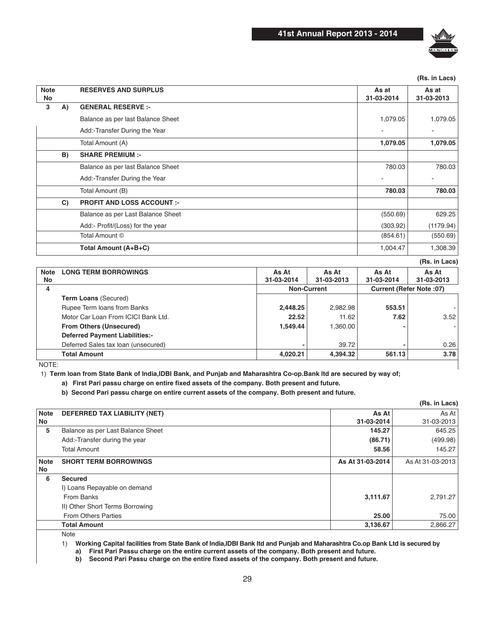

**(Rs. in Lacs)**

| <b>Note</b><br>No |    | <b>RESERVES AND SURPLUS</b>       | As at<br>31-03-2014 | As at<br>31-03-2013 |
|-------------------|----|-----------------------------------|---------------------|---------------------|
| 3                 | A) | <b>GENERAL RESERVE :-</b>         |                     |                     |
|                   |    | Balance as per last Balance Sheet | 1,079.05            | 1,079.05            |
|                   |    | Add:-Transfer During the Year     |                     | ٠                   |
|                   |    | Total Amount (A)                  | 1,079.05            | 1,079.05            |
|                   | B) | <b>SHARE PREMIUM :-</b>           |                     |                     |
|                   |    | Balance as per last Balance Sheet | 780.03              | 780.03              |
|                   |    | Add:-Transfer During the Year     |                     |                     |
|                   |    | Total Amount (B)                  | 780.03              | 780.03              |
|                   | C) | <b>PROFIT AND LOSS ACCOUNT :-</b> |                     |                     |
|                   |    | Balance as per Last Balance Sheet | (550.69)            | 629.25              |
|                   |    | Add:- Profit/(Loss) for the year  | (303.92)            | (1179.94)           |
|                   |    | Total Amount ©                    | (854.61)            | (550.69)            |
|                   |    | Total Amount (A+B+C)              | 1,004.47            | 1,308.39            |

**(Rs. in Lacs)**

| Note  | <b>LONG TERM BORROWINGS</b>           | As At              | As At      | As At                    | As At      |  |
|-------|---------------------------------------|--------------------|------------|--------------------------|------------|--|
| No    |                                       | 31-03-2014         | 31-03-2013 | 31-03-2014               | 31-03-2013 |  |
| 4     |                                       | <b>Non-Current</b> |            | Current (Refer Note: 07) |            |  |
|       | <b>Term Loans (Secured)</b>           |                    |            |                          |            |  |
|       | Rupee Term loans from Banks           | 2,448.25           | 2.982.98   | 553.51                   |            |  |
|       | Motor Car Loan From ICICI Bank Ltd.   | 22.52              | 11.62      | 7.62                     | 3.52       |  |
|       | <b>From Others (Unsecured)</b>        | 1.549.44           | 1,360.00   |                          |            |  |
|       | <b>Deferred Payment Liabilities:-</b> |                    |            |                          |            |  |
|       | Deferred Sales tax loan (unsecured)   |                    | 39.72      |                          | 0.26       |  |
|       | <b>Total Amount</b>                   | 4,020.21           | 4,394.32   | 561.13                   | 3.78       |  |
| NOTE: |                                       |                    |            |                          |            |  |

1) Term loan from State Bank of India, IDBI Bank, and Punjab and Maharashtra Co-op. Bank Itd are secured by way of;

a) First Pari passu charge on entire fixed assets of the company. Both present and future.

b) Second Pari passu charge on entire current assets of the company. Both present and future.

|             |                                   |                  | (Rs. in Lacs)    |
|-------------|-----------------------------------|------------------|------------------|
| <b>Note</b> | DEFERRED TAX LIABILITY (NET)      | As At            | As At I          |
| No          |                                   | 31-03-2014       | 31-03-2013       |
| 5           | Balance as per Last Balance Sheet | 145.27           | 645.25           |
|             | Add:-Transfer during the year     | (86.71)          | (499.98)         |
|             | <b>Total Amount</b>               | 58.56            | 145.27           |
| <b>Note</b> | <b>SHORT TERM BORROWINGS</b>      | As At 31-03-2014 | As At 31-03-2013 |
| No          |                                   |                  |                  |
| 6           | <b>Secured</b>                    |                  |                  |
|             | I) Loans Repayable on demand      |                  |                  |
|             | From Banks                        | 3,111.67         | 2,791.27         |
|             | II) Other Short Terms Borrowing   |                  |                  |
|             | <b>From Others Parties</b>        | 25.00            | 75.00            |
|             | <b>Total Amount</b>               | 3,136.67         | 2,866.27         |

Note

1) Working Capital facilities from State Bank of India, IDBI Bank Itd and Punjab and Maharashtra Co.op Bank Ltd is secured by

a) First Pari Passu charge on the entire current assets of the company. Both present and future.<br>b) Second Pari Passu charge on the entire fixed assets of the company. Both present and future.

Second Pari Passu charge on the entire fixed assets of the company. Both present and future.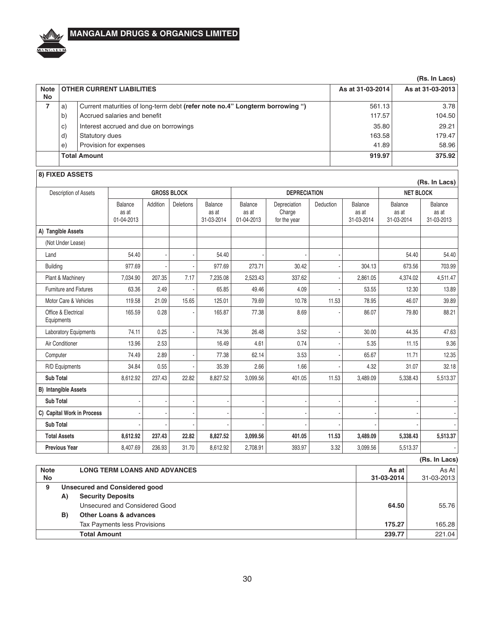

### (Rs. In Lacs)

| <b>Note</b><br>No |                     | <b>OTHER CURRENT LIABILITIES</b>                                             | As at 31-03-2014 | As at 31-03-2013 |
|-------------------|---------------------|------------------------------------------------------------------------------|------------------|------------------|
|                   | a)                  | Current maturities of long-term debt (refer note no.4" Longterm borrowing ") | 561.13           | 3.78             |
|                   | b)                  | Accrued salaries and benefit                                                 | 117.57           | 104.50           |
|                   | C)                  | Interest accrued and due on borrowings                                       | 35.80            | 29.21            |
|                   | d)                  | Statutory dues                                                               | 163.58           | 179.47           |
|                   | e)                  | Provision for expenses                                                       | 41.89            | 58.96            |
|                   | <b>Total Amount</b> |                                                                              | 919.97           | 375.92           |
|                   |                     |                                                                              |                  |                  |

# 8) FIXED ASSETS

|                                   |                                |          |                  |                                |                                       |                                        |           |                                |                                | (Rs. In Lacs)                  |
|-----------------------------------|--------------------------------|----------|------------------|--------------------------------|---------------------------------------|----------------------------------------|-----------|--------------------------------|--------------------------------|--------------------------------|
| Description of Assets             | <b>GROSS BLOCK</b>             |          |                  |                                | <b>DEPRECIATION</b>                   |                                        |           |                                | <b>NET BLOCK</b>               |                                |
|                                   | Balance<br>as at<br>01-04-2013 | Addition | <b>Deletions</b> | Balance<br>as at<br>31-03-2014 | <b>Balance</b><br>as at<br>01-04-2013 | Depreciation<br>Charge<br>for the year | Deduction | Balance<br>as at<br>31-03-2014 | Balance<br>as at<br>31-03-2014 | Balance<br>as at<br>31-03-2013 |
| A) Tangible Assets                |                                |          |                  |                                |                                       |                                        |           |                                |                                |                                |
| (Not Under Lease)                 |                                |          |                  |                                |                                       |                                        |           |                                |                                |                                |
| Land                              | 54.40                          |          |                  | 54.40                          |                                       |                                        |           |                                | 54.40                          | 54.40                          |
| <b>Building</b>                   | 977.69                         |          |                  | 977.69                         | 273.71                                | 30.42                                  |           | 304.13                         | 673.56                         | 703.99                         |
| Plant & Machinery                 | 7,034.90                       | 207.35   | 7.17             | 7,235.08                       | 2,523.43                              | 337.62                                 |           | 2,861.05                       | 4,374.02                       | 4,511.47                       |
| <b>Furniture and Fixtures</b>     | 63.36                          | 2.49     |                  | 65.85                          | 49.46                                 | 4.09                                   |           | 53.55                          | 12.30                          | 13.89                          |
| Motor Care & Vehicles             | 119.58                         | 21.09    | 15.65            | 125.01                         | 79.69                                 | 10.78                                  | 11.53     | 78.95                          | 46.07                          | 39.89                          |
| Office & Electrical<br>Equipments | 165.59                         | 0.28     |                  | 165.87                         | 77.38                                 | 8.69                                   |           | 86.07                          | 79.80                          | 88.21                          |
| Laboratory Equipments             | 74.11                          | 0.25     |                  | 74.36                          | 26.48                                 | 3.52                                   |           | 30.00                          | 44.35                          | 47.63                          |
| Air Conditioner                   | 13.96                          | 2.53     |                  | 16.49                          | 4.61                                  | 0.74                                   |           | 5.35                           | 11.15                          | 9.36                           |
| Computer                          | 74.49                          | 2.89     |                  | 77.38                          | 62.14                                 | 3.53                                   |           | 65.67                          | 11.71                          | 12.35                          |
| R/D Equipments                    | 34.84                          | 0.55     |                  | 35.39                          | 2.66                                  | 1.66                                   |           | 4.32                           | 31.07                          | 32.18                          |
| <b>Sub Total</b>                  | 8,612.92                       | 237.43   | 22.82            | 8.827.52                       | 3,099.56                              | 401.05                                 | 11.53     | 3,489.09                       | 5,338.43                       | 5,513.37                       |
| <b>B)</b> Intangible Assets       |                                |          |                  |                                |                                       |                                        |           |                                |                                |                                |
| <b>Sub Total</b>                  |                                |          |                  |                                |                                       |                                        |           |                                |                                |                                |
| C) Capital Work in Process        |                                |          |                  |                                |                                       |                                        |           |                                |                                |                                |
| <b>Sub Total</b>                  |                                |          |                  |                                |                                       |                                        |           |                                |                                |                                |
| <b>Total Assets</b>               | 8,612.92                       | 237.43   | 22.82            | 8,827.52                       | 3,099.56                              | 401.05                                 | 11.53     | 3,489.09                       | 5,338.43                       | 5,513.37                       |
| <b>Previous Year</b>              | 8,407.69                       | 236.93   | 31.70            | 8,612.92                       | 2,708.91                              | 393.97                                 | 3.32      | 3,099.56                       | 5,513.37                       |                                |

|                   |    |                                      |                     | (Rs. In Lacs)           |  |  |  |
|-------------------|----|--------------------------------------|---------------------|-------------------------|--|--|--|
| <b>Note</b><br>No |    | <b>LONG TERM LOANS AND ADVANCES</b>  | As at<br>31-03-2014 | As At $ $<br>31-03-2013 |  |  |  |
| 9                 |    | <b>Unsecured and Considered good</b> |                     |                         |  |  |  |
|                   | A) | <b>Security Deposits</b>             |                     |                         |  |  |  |
|                   |    | Unsecured and Considered Good        | 64.50               | 55.76                   |  |  |  |
|                   | B) | <b>Other Loans &amp; advances</b>    |                     |                         |  |  |  |
|                   |    | Tax Payments less Provisions         | 175.27              | 165.28                  |  |  |  |
|                   |    | <b>Total Amount</b>                  | 239.77              | 221.04                  |  |  |  |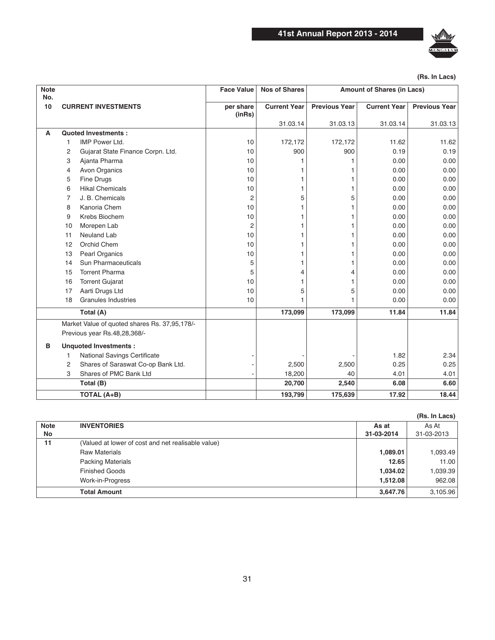

| <b>Note</b><br>No. |    |                                                                               | <b>Face Value</b>   | <b>Nos of Shares</b> | <b>Amount of Shares (in Lacs)</b> |                     |                      |  |
|--------------------|----|-------------------------------------------------------------------------------|---------------------|----------------------|-----------------------------------|---------------------|----------------------|--|
| 10                 |    | <b>CURRENT INVESTMENTS</b>                                                    | per share<br>(inRs) | <b>Current Year</b>  | <b>Previous Year</b>              | <b>Current Year</b> | <b>Previous Year</b> |  |
| A                  |    | <b>Quoted Investments:</b>                                                    |                     | 31.03.14             | 31.03.13                          | 31.03.14            | 31.03.13             |  |
|                    | 1  | <b>IMP Power Ltd.</b>                                                         | 10                  | 172,172              | 172,172                           | 11.62               | 11.62                |  |
|                    | 2  | Gujarat State Finance Corpn. Ltd.                                             | 10                  | 900                  | 900                               | 0.19                | 0.19                 |  |
|                    | 3  | Ajanta Pharma                                                                 | 10                  |                      |                                   | 0.00                | 0.00                 |  |
|                    | 4  | Avon Organics                                                                 | 10                  |                      | 1                                 | 0.00                | 0.00                 |  |
|                    | 5  | <b>Fine Drugs</b>                                                             | 10                  |                      | 1                                 | 0.00                | 0.00                 |  |
|                    | 6  | <b>Hikal Chemicals</b>                                                        | 10                  |                      | 1                                 | 0.00                | 0.00                 |  |
|                    | 7  | J. B. Chemicals                                                               | 2                   | 5                    | 5                                 | 0.00                | 0.00                 |  |
|                    | 8  | Kanoria Chem                                                                  | 10                  |                      | 1                                 | 0.00                | 0.00                 |  |
|                    | 9  | Krebs Biochem                                                                 | 10                  |                      | 1                                 | 0.00                | 0.00                 |  |
|                    | 10 | Morepen Lab                                                                   | 2                   |                      | 1                                 | 0.00                | 0.00                 |  |
|                    | 11 | <b>Neuland Lab</b>                                                            | 10                  |                      | 1                                 | 0.00                | 0.00                 |  |
|                    | 12 | Orchid Chem                                                                   | 10                  |                      |                                   | 0.00                | 0.00                 |  |
|                    | 13 | Pearl Organics                                                                | 10                  |                      | 1                                 | 0.00                | 0.00                 |  |
|                    | 14 | Sun Pharmaceuticals                                                           | 5                   |                      | 1                                 | 0.00                | 0.00                 |  |
|                    | 15 | <b>Torrent Pharma</b>                                                         | 5                   | 4                    | 4                                 | 0.00                | 0.00                 |  |
|                    | 16 | <b>Torrent Gujarat</b>                                                        | 10                  |                      | 1                                 | 0.00                | 0.00                 |  |
|                    | 17 | Aarti Drugs Ltd                                                               | 10                  | 5                    | 5                                 | 0.00                | 0.00                 |  |
|                    | 18 | <b>Granules Industries</b>                                                    | 10                  |                      |                                   | 0.00                | 0.00                 |  |
|                    |    | Total (A)                                                                     |                     | 173,099              | 173,099                           | 11.84               | 11.84                |  |
|                    |    | Market Value of quoted shares Rs. 37,95,178/-<br>Previous year Rs.48,28,368/- |                     |                      |                                   |                     |                      |  |
| в                  |    | <b>Unquoted Investments:</b>                                                  |                     |                      |                                   |                     |                      |  |
|                    | 1  | National Savings Certificate                                                  |                     |                      |                                   | 1.82                | 2.34                 |  |
|                    | 2  | Shares of Saraswat Co-op Bank Ltd.                                            |                     | 2,500                | 2,500                             | 0.25                | 0.25                 |  |
|                    | 3  | Shares of PMC Bank Ltd                                                        |                     | 18,200               | 40                                | 4.01                | 4.01                 |  |
|                    |    | Total (B)                                                                     |                     | 20,700               | 2,540                             | 6.08                | 6.60                 |  |
|                    |    | <b>TOTAL (A+B)</b>                                                            |                     | 193,799              | 175,639                           | 17.92               | 18.44                |  |

### **(Rs. In Lacs)**

|                   |                                                    |                     | (Rs. In Lacs)       |
|-------------------|----------------------------------------------------|---------------------|---------------------|
| <b>Note</b><br>No | <b>INVENTORIES</b>                                 | As at<br>31-03-2014 | As At<br>31-03-2013 |
| 11                | (Valued at lower of cost and net realisable value) |                     |                     |
|                   | <b>Raw Materials</b>                               | 1,089.01            | 1,093.49            |
|                   | <b>Packing Materials</b>                           | 12.65               | 11.00               |
|                   | <b>Finished Goods</b>                              | 1,034.02            | 1,039.39            |
|                   | Work-in-Progress                                   | 1,512.08            | 962.08              |
|                   | <b>Total Amount</b>                                | 3,647.76            | 3,105.96            |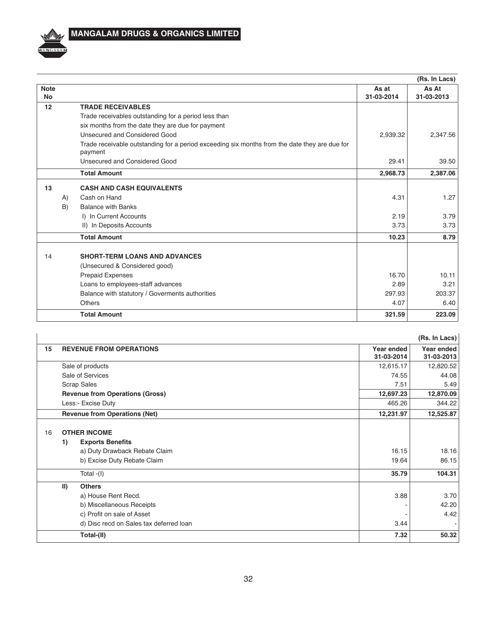

# **MANGALAM DRUGS & ORGANICS LIMITED**

|                          |                                                                                                          |                     | (Rs. In Lacs)       |
|--------------------------|----------------------------------------------------------------------------------------------------------|---------------------|---------------------|
| <b>Note</b><br><b>No</b> |                                                                                                          | As at<br>31-03-2014 | As At<br>31-03-2013 |
| 12                       | <b>TRADE RECEIVABLES</b>                                                                                 |                     |                     |
|                          | Trade receivables outstanding for a period less than                                                     |                     |                     |
|                          | six months from the date they are due for payment                                                        |                     |                     |
|                          | Unsecured and Considered Good                                                                            | 2,939.32            | 2,347.56            |
|                          | Trade receivable outstanding for a period exceeding six months from the date they are due for<br>payment |                     |                     |
|                          | Unsecured and Considered Good                                                                            | 29.41               | 39.50               |
|                          | <b>Total Amount</b>                                                                                      | 2,968.73            | 2,387.06            |
| 13                       | <b>CASH AND CASH EQUIVALENTS</b>                                                                         |                     |                     |
| A)                       | Cash on Hand                                                                                             | 4.31                | 1.27                |
| B)                       | <b>Balance with Banks</b>                                                                                |                     |                     |
|                          | I) In Current Accounts                                                                                   | 2.19                | 3.79                |
|                          | II) In Deposits Accounts                                                                                 | 3.73                | 3.73                |
|                          | <b>Total Amount</b>                                                                                      | 10.23               | 8.79                |
| 14                       | <b>SHORT-TERM LOANS AND ADVANCES</b>                                                                     |                     |                     |
|                          | (Unsecured & Considered good)                                                                            |                     |                     |
|                          | Prepaid Expenses                                                                                         | 16.70               | 10.11               |
|                          | Loans to employees-staff advances                                                                        | 2.89                | 3.21                |
|                          | Balance with statutory / Goverments authorities                                                          | 297.93              | 203.37              |
|                          | <b>Others</b>                                                                                            | 4.07                | 6.40                |
|                          | <b>Total Amount</b>                                                                                      | 321.59              | 223.09              |

|    |               |                                         |                          | (Rs. In Lacs)            |
|----|---------------|-----------------------------------------|--------------------------|--------------------------|
| 15 |               | <b>REVENUE FROM OPERATIONS</b>          | Year ended<br>31-03-2014 | Year ended<br>31-03-2013 |
|    |               | Sale of products                        | 12,615.17                | 12,820.52                |
|    |               | Sale of Services                        | 74.55                    | 44.08                    |
|    |               | <b>Scrap Sales</b>                      | 7.51                     | 5.49                     |
|    |               | <b>Revenue from Operations (Gross)</b>  | 12,697.23                | 12,870.09                |
|    |               | Less:- Excise Duty                      | 465.26                   | 344.22                   |
|    |               | <b>Revenue from Operations (Net)</b>    | 12,231.97                | 12,525.87                |
| 16 |               | <b>OTHER INCOME</b>                     |                          |                          |
|    | 1)            | <b>Exports Benefits</b>                 |                          |                          |
|    |               | a) Duty Drawback Rebate Claim           | 16.15                    | 18.16                    |
|    |               | b) Excise Duty Rebate Claim             | 19.64                    | 86.15                    |
|    |               | Total $-(I)$                            | 35.79                    | 104.31                   |
|    | $\vert \vert$ | <b>Others</b>                           |                          |                          |
|    |               | a) House Rent Recd.                     | 3.88                     | 3.70                     |
|    |               | b) Miscellaneous Receipts               |                          | 42.20                    |
|    |               | c) Profit on sale of Asset              |                          | 4.42                     |
|    |               | d) Disc recd on Sales tax deferred loan | 3.44                     |                          |
|    |               | Total-(II)                              | 7.32                     | 50.32                    |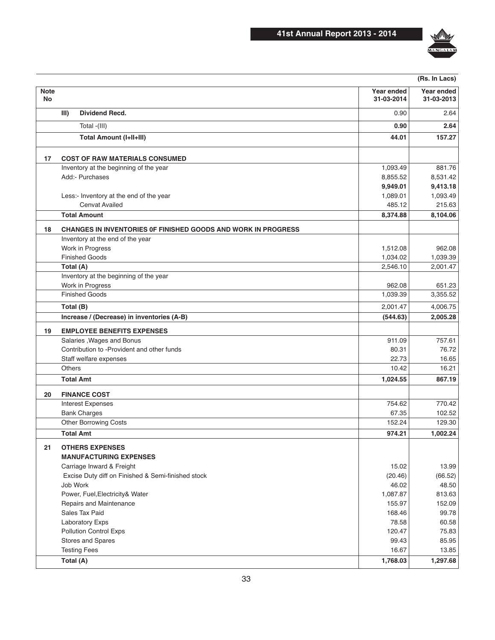

|                   |                                                               |                          | (Rs. In Lacs)            |
|-------------------|---------------------------------------------------------------|--------------------------|--------------------------|
| <b>Note</b><br>No |                                                               | Year ended<br>31-03-2014 | Year ended<br>31-03-2013 |
|                   | III)<br>Dividend Recd.                                        | 0.90                     | 2.64                     |
|                   | Total -(III)                                                  | 0.90                     | 2.64                     |
|                   | <b>Total Amount (I+II+III)</b>                                | 44.01                    | 157.27                   |
| 17                | <b>COST OF RAW MATERIALS CONSUMED</b>                         |                          |                          |
|                   | Inventory at the beginning of the year                        | 1,093.49                 | 881.76                   |
|                   | Add:- Purchases                                               | 8,855.52                 | 8,531.42                 |
|                   |                                                               | 9,949.01                 | 9,413.18                 |
|                   | Less:- Inventory at the end of the year                       | 1,089.01                 | 1,093.49                 |
|                   | <b>Cenvat Availed</b>                                         | 485.12                   | 215.63                   |
|                   | <b>Total Amount</b>                                           | 8,374.88                 | 8,104.06                 |
| 18                | CHANGES IN INVENTORIES OF FINISHED GOODS AND WORK IN PROGRESS |                          |                          |
|                   | Inventory at the end of the year                              |                          |                          |
|                   | Work in Progress                                              | 1,512.08                 | 962.08                   |
|                   | <b>Finished Goods</b>                                         | 1,034.02                 | 1,039.39                 |
|                   | Total (A)<br>Inventory at the beginning of the year           | 2,546.10                 | 2,001.47                 |
|                   | Work in Progress                                              | 962.08                   | 651.23                   |
|                   | <b>Finished Goods</b>                                         | 1,039.39                 | 3,355.52                 |
|                   |                                                               |                          |                          |
|                   | Total (B)                                                     | 2,001.47                 | 4,006.75                 |
|                   | Increase / (Decrease) in inventories (A-B)                    | (544.63)                 | 2,005.28                 |
| 19                | <b>EMPLOYEE BENEFITS EXPENSES</b>                             |                          |                          |
|                   | Salaries, Wages and Bonus                                     | 911.09                   | 757.61                   |
|                   | Contribution to -Provident and other funds                    | 80.31                    | 76.72                    |
|                   | Staff welfare expenses                                        | 22.73                    | 16.65                    |
|                   | <b>Others</b>                                                 | 10.42                    | 16.21                    |
|                   | <b>Total Amt</b>                                              | 1,024.55                 | 867.19                   |
| 20                | <b>FINANCE COST</b>                                           |                          |                          |
|                   | <b>Interest Expenses</b>                                      | 754.62                   | 770.42                   |
|                   | <b>Bank Charges</b>                                           | 67.35                    | 102.52                   |
|                   | Other Borrowing Costs                                         | 152.24                   | 129.30                   |
|                   | <b>Total Amt</b>                                              | 974.21                   | 1,002.24                 |
| 21                | <b>OTHERS EXPENSES</b>                                        |                          |                          |
|                   | <b>MANUFACTURING EXPENSES</b>                                 |                          |                          |
|                   | Carriage Inward & Freight                                     | 15.02                    | 13.99                    |
|                   | Excise Duty diff on Finished & Semi-finished stock            | (20.46)                  | (66.52)                  |
|                   | Job Work                                                      | 46.02                    | 48.50                    |
|                   | Power, Fuel, Electricity& Water                               | 1,087.87                 | 813.63                   |
|                   | Repairs and Maintenance                                       | 155.97                   | 152.09                   |
|                   | Sales Tax Paid                                                | 168.46                   | 99.78                    |
|                   | <b>Laboratory Exps</b>                                        | 78.58                    | 60.58                    |
|                   | <b>Pollution Control Exps</b>                                 | 120.47                   | 75.83                    |
|                   | <b>Stores and Spares</b>                                      | 99.43                    | 85.95                    |
|                   | <b>Testing Fees</b>                                           | 16.67                    | 13.85                    |
|                   | Total (A)                                                     | 1,768.03                 | 1,297.68                 |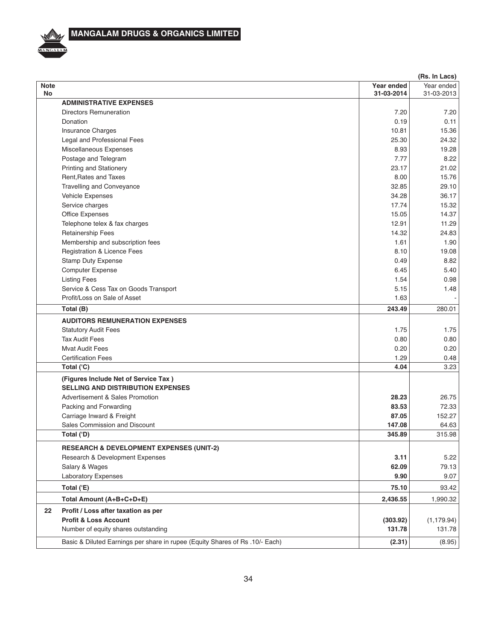

|                   | (Rs. In Lacs)                                                                    |                          |                          |  |  |
|-------------------|----------------------------------------------------------------------------------|--------------------------|--------------------------|--|--|
| <b>Note</b><br>No |                                                                                  | Year ended<br>31-03-2014 | Year ended<br>31-03-2013 |  |  |
|                   | <b>ADMINISTRATIVE EXPENSES</b>                                                   |                          |                          |  |  |
|                   | <b>Directors Remuneration</b>                                                    | 7.20                     | 7.20                     |  |  |
|                   | Donation                                                                         | 0.19                     | 0.11                     |  |  |
|                   | <b>Insurance Charges</b>                                                         | 10.81                    | 15.36                    |  |  |
|                   | Legal and Professional Fees                                                      | 25.30                    | 24.32                    |  |  |
|                   | Miscellaneous Expenses                                                           | 8.93                     | 19.28                    |  |  |
|                   | Postage and Telegram                                                             | 7.77                     | 8.22                     |  |  |
|                   | <b>Printing and Stationery</b>                                                   | 23.17                    | 21.02                    |  |  |
|                   | Rent, Rates and Taxes                                                            | 8.00                     | 15.76                    |  |  |
|                   | <b>Travelling and Conveyance</b>                                                 | 32.85                    | 29.10                    |  |  |
|                   | Vehicle Expenses                                                                 | 34.28                    | 36.17                    |  |  |
|                   | Service charges                                                                  | 17.74                    | 15.32                    |  |  |
|                   | Office Expenses                                                                  | 15.05                    | 14.37                    |  |  |
|                   | Telephone telex & fax charges                                                    | 12.91                    | 11.29                    |  |  |
|                   | <b>Retainership Fees</b>                                                         | 14.32                    | 24.83                    |  |  |
|                   | Membership and subscription fees                                                 | 1.61                     | 1.90                     |  |  |
|                   | Registration & Licence Fees                                                      | 8.10                     | 19.08                    |  |  |
|                   | <b>Stamp Duty Expense</b>                                                        | 0.49                     | 8.82                     |  |  |
|                   | <b>Computer Expense</b>                                                          | 6.45                     | 5.40                     |  |  |
|                   | <b>Listing Fees</b>                                                              | 1.54                     | 0.98                     |  |  |
|                   | Service & Cess Tax on Goods Transport                                            | 5.15                     | 1.48                     |  |  |
|                   | Profit/Loss on Sale of Asset                                                     | 1.63                     |                          |  |  |
|                   | Total (B)                                                                        | 243.49                   | 280.01                   |  |  |
|                   | <b>AUDITORS REMUNERATION EXPENSES</b>                                            |                          |                          |  |  |
|                   | <b>Statutory Audit Fees</b>                                                      | 1.75                     | 1.75                     |  |  |
|                   | <b>Tax Audit Fees</b>                                                            | 0.80                     | 0.80                     |  |  |
|                   | <b>Mvat Audit Fees</b>                                                           | 0.20                     | 0.20                     |  |  |
|                   | <b>Certification Fees</b>                                                        | 1.29                     | 0.48                     |  |  |
|                   | Total ('C)                                                                       | 4.04                     | 3.23                     |  |  |
|                   | (Figures Include Net of Service Tax)<br><b>SELLING AND DISTRIBUTION EXPENSES</b> |                          |                          |  |  |
|                   | <b>Advertisement &amp; Sales Promotion</b>                                       | 28.23                    | 26.75                    |  |  |
|                   |                                                                                  | 83.53                    | 72.33                    |  |  |
|                   | Packing and Forwarding                                                           | 87.05                    | 152.27                   |  |  |
|                   | Carriage Inward & Freight                                                        |                          |                          |  |  |
|                   | Sales Commission and Discount                                                    | 147.08<br>345.89         | 64.63                    |  |  |
|                   | Total ('D)                                                                       |                          | 315.98                   |  |  |
|                   | <b>RESEARCH &amp; DEVELOPMENT EXPENSES (UNIT-2)</b>                              |                          |                          |  |  |
|                   | Research & Development Expenses                                                  | 3.11                     | 5.22                     |  |  |
|                   | Salary & Wages                                                                   | 62.09                    | 79.13                    |  |  |
|                   | <b>Laboratory Expenses</b>                                                       | 9.90                     | 9.07                     |  |  |
|                   | Total ('E)                                                                       | 75.10                    | 93.42                    |  |  |
|                   | Total Amount (A+B+C+D+E)                                                         | 2,436.55                 | 1,990.32                 |  |  |
| 22                | Profit / Loss after taxation as per                                              |                          |                          |  |  |
|                   | <b>Profit &amp; Loss Account</b>                                                 | (303.92)                 | (1, 179.94)              |  |  |
|                   | Number of equity shares outstanding                                              | 131.78                   | 131.78                   |  |  |
|                   | Basic & Diluted Earnings per share in rupee (Equity Shares of Rs .10/- Each)     | (2.31)                   | (8.95)                   |  |  |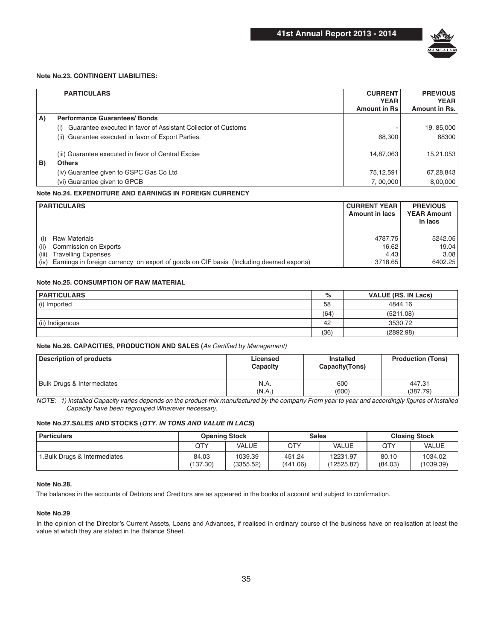

### **Note No.23. CONTINGENT LIABILITIES:**

|    | <b>PARTICULARS</b>                                                   | <b>CURRENT</b><br><b>YEAR</b> | <b>PREVIOUS</b>              |
|----|----------------------------------------------------------------------|-------------------------------|------------------------------|
|    |                                                                      | <b>Amount in Rs</b>           | <b>YEAR</b><br>Amount in Rs. |
| A) | <b>Performance Guarantees/Bonds</b>                                  |                               |                              |
|    | Guarantee executed in favor of Assistant Collector of Customs<br>(i) |                               | 19, 85,000                   |
|    | (ii) Guarantee executed in favor of Export Parties.                  | 68,300                        | 68300                        |
|    | (iii) Guarantee executed in favor of Central Excise                  | 14,87,063                     | 15,21,053                    |
| B) | <b>Others</b>                                                        |                               |                              |
|    | (iv) Guarantee given to GSPC Gas Co Ltd                              | 75,12,591                     | 67,28,843                    |
|    | (vi) Guarantee given to GPCB                                         | 7,00,000                      | 8,00,000                     |

#### **Note No.24. EXPENDITURE AND EARNINGS IN FOREIGN CURRENCY**

|       | <b>PARTICULARS</b>                                                                           | <b>CURRENT YEAR</b><br><b>Amount in lacs</b> | <b>PREVIOUS</b><br><b>YEAR Amount</b><br>in lacs |
|-------|----------------------------------------------------------------------------------------------|----------------------------------------------|--------------------------------------------------|
| (i)   | <b>Raw Materials</b>                                                                         | 4787.75                                      | 5242.05                                          |
| (iii) | Commission on Exports                                                                        | 16.62                                        | 19.04                                            |
| (iii) | <b>Travelling Expenses</b>                                                                   | 4.43                                         | 3.081                                            |
|       | (iv) Earnings in foreign currency on export of goods on CIF basis (Including deemed exports) | 3718.65                                      | 6402.25                                          |

#### **Note No.25, CONSUMPTION OF RAW MATERIAL**

| <b>PARTICULARS</b> | %    | <b>VALUE (RS. IN Lacs)</b> |
|--------------------|------|----------------------------|
| (i) Imported       | 58   | 4844.16                    |
|                    | (64) | (5211.08)                  |
| (ii) Indigenous    | 42   | 3530.72                    |
|                    | (36) | (2892.98)                  |

### Note No.26. CAPACITIES, PRODUCTION AND SALES (As Certified by Management)

| <b>Description of products</b>        | Licensed<br>Capacity | Installed<br>Capacity (Tons) | <b>Production (Tons)</b> |
|---------------------------------------|----------------------|------------------------------|--------------------------|
| <b>Bulk Drugs &amp; Intermediates</b> | N.A.                 | 600                          | 447.31                   |
|                                       | (N.A.)               | (600)                        | (387.79)                 |

NOTE: 1) Installed Capacity varies depends on the product-mix manufactured by the company From year to year and accordingly figures of Installed Capacity have been regrouped Wherever necessary.

### Note No.27. SALES AND STOCKS (QTY. IN TONS AND VALUE IN LACS)

| <b>Particulars</b>          |                   | <b>Opening Stock</b> |                    | <b>Sales</b>           |                  | <b>Closing Stock</b> |  |
|-----------------------------|-------------------|----------------------|--------------------|------------------------|------------------|----------------------|--|
|                             | QTY               | VALUE                | QTY                | <b>VALUE</b>           | QTY              | VALUE                |  |
| .Bulk Drugs & Intermediates | 84.03<br>(137.30) | 1039.39<br>(3355.52) | 451.24<br>(441.06) | 12231.97<br>(12525.87) | 80.10<br>(84.03) | 1034.02<br>(1039.39) |  |

#### **Note No.28.**

The balances in the accounts of Debtors and Creditors are as appeared in the books of account and subject to confirmation.

#### **Note No.29**

In the opinion of the Director's Current Assets, Loans and Advances, if realised in ordinary course of the business have on realisation at least the value at which they are stated in the Balance Sheet.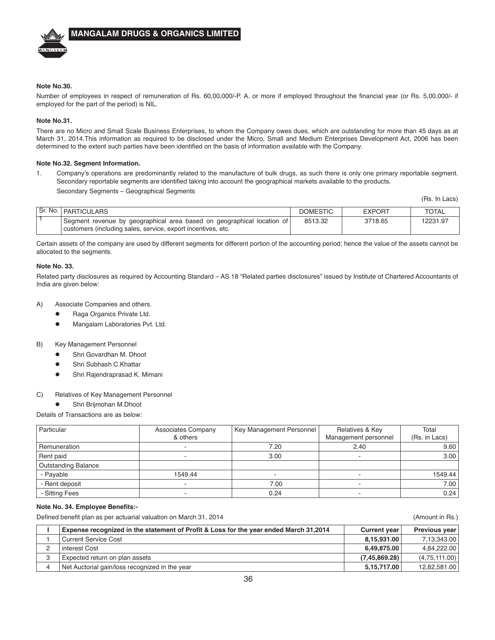

#### **Note No.30.**

Number of employees in respect of remuneration of Rs. 60,00,000/-P. A. or more if employed throughout the financial year (or Rs. 5,00,000/- if employed for the part of the period) is NIL.

#### **Note No.31.**

There are no Micro and Small Scale Business Enterprises, to whom the Company owes dues, which are outstanding for more than 45 days as at March 31, 2014.This information as required to be disclosed under the Micro, Small and Medium Enterprises Development Act, 2006 has been determined to the extent such parties have been identified on the basis of information available with the Company.

#### **Note No.32. Segment Information.**

1. Company's operations are predominantly related to the manufacture of bulk drugs, as such there is only one primary reportable segment. Secondary reportable segments are identified taking into account the geographical markets available to the products. Secondary Segments – Geographical Segments

(Rs. In Lacs)

| Sr. No.   PARTICULARS                                                                                                                  | <b>DOMESTIC</b> | <b>EXPORT</b> | TOTAL    |
|----------------------------------------------------------------------------------------------------------------------------------------|-----------------|---------------|----------|
| Segment revenue by geographical area based on geographical location of<br>customers (including sales, service, export incentives, etc. | 8513.32         | 3718.65       | 12231.97 |

Certain assets of the company are used by different segments for different portion of the accounting period; hence the value of the assets cannot be allocated to the segments.

#### **Note No. 33.**

Related party disclosures as required by Accounting Standard – AS 18 "Related parties disclosures" issued by Institute of Chartered Accountants of India are given below:

- A) Associate Companies and others.
	- **•** Raga Organics Private Ltd.
	- Mangalam Laboratories Pvt. Ltd.
- B) Key Management Personnel
	- Shri Govardhan M. Dhoot
	- Shri Subhash C.Khattar
	- Shri Rajendraprasad K. Mimani

#### C) Relatives of Key Management Personnel

Shri Brijmohan M.Dhoot

Details of Transactions are as below:

| Particular                 | <b>Associates Company</b><br>& others | Key Management Personnel | Relatives & Key<br>Management personnel | Total<br>(Rs. in Lacs) |
|----------------------------|---------------------------------------|--------------------------|-----------------------------------------|------------------------|
| Remuneration               | -                                     | 7.20                     | 2.40                                    | 9.60                   |
| Rent paid                  | $\overline{\phantom{a}}$              | 3.00                     | -                                       | 3.00                   |
| <b>Outstanding Balance</b> |                                       |                          |                                         |                        |
| - Payable                  | 1549.44                               |                          | -                                       | 1549.44                |
| - Rent deposit             | $\overline{\phantom{a}}$              | 7.00                     | -                                       | 7.00                   |
| - Sitting Fees             |                                       | 0.24                     |                                         | 0.24                   |

#### **Note No. 34. Employee Benefits:-**

Defined benefit plan as per actuarial valuation on March 31, 2014 (Amount in Rs.)

| Expense recognized in the statement of Profit & Loss for the year ended March 31,2014 | <b>Current year</b> | Previous year |
|---------------------------------------------------------------------------------------|---------------------|---------------|
| <b>Current Service Cost</b>                                                           | 8.15.931.00         | 7.13.343.00   |
| l interest Cost                                                                       | 6.49.875.00         | 4.84.222.00   |
| Expected return on plan assets                                                        | (7.45.869.28)       | (4,75,111.00) |
| Net Auctorial gain/loss recognized in the year                                        | 5.15.717.00         | 12.82.581.00  |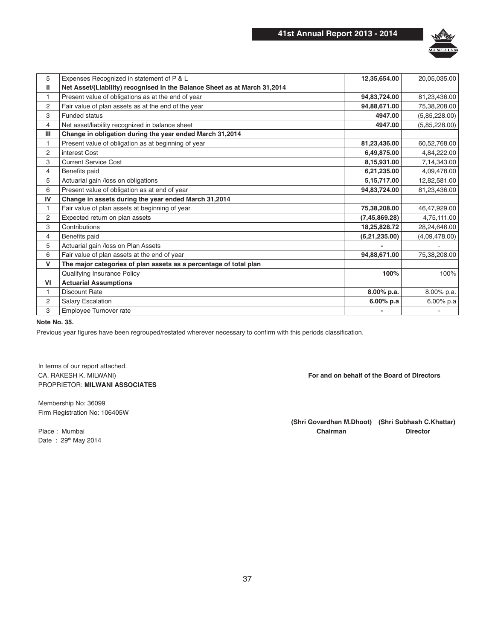

| 5              | Expenses Recognized in statement of P & L                                 | 12,35,654.00    | 20,05,035.00  |
|----------------|---------------------------------------------------------------------------|-----------------|---------------|
| Ш              | Net Asset/(Liability) recognised in the Balance Sheet as at March 31,2014 |                 |               |
|                | Present value of obligations as at the end of year                        | 94,83,724.00    | 81,23,436.00  |
| $\overline{2}$ | Fair value of plan assets as at the end of the year                       | 94,88,671.00    | 75,38,208.00  |
| 3              | <b>Funded status</b>                                                      | 4947.00         | (5,85,228.00) |
| $\overline{4}$ | Net asset/liability recognized in balance sheet                           | 4947.00         | (5,85,228.00) |
| III            | Change in obligation during the year ended March 31,2014                  |                 |               |
| 1              | Present value of obligation as at beginning of year                       | 81,23,436.00    | 60,52,768.00  |
| $\overline{2}$ | interest Cost                                                             | 6,49,875.00     | 4,84,222.00   |
| 3              | <b>Current Service Cost</b>                                               | 8,15,931.00     | 7,14,343.00   |
| $\overline{4}$ | Benefits paid                                                             | 6,21,235.00     | 4,09,478.00   |
| 5              | Actuarial gain /loss on obligations                                       | 5, 15, 717.00   | 12,82,581.00  |
| 6              | Present value of obligation as at end of year                             | 94,83,724.00    | 81,23,436.00  |
| IV             | Change in assets during the year ended March 31,2014                      |                 |               |
| 1              | Fair value of plan assets at beginning of year                            | 75,38,208.00    | 46,47,929.00  |
| $\overline{2}$ | Expected return on plan assets                                            | (7, 45, 869.28) | 4,75,111.00   |
| 3              | Contributions                                                             | 18,25,828.72    | 28,24,646.00  |
| 4              | Benefits paid                                                             | (6,21,235.00)   | (4,09,478.00) |
| 5              | Actuarial gain /loss on Plan Assets                                       |                 |               |
| 6              | Fair value of plan assets at the end of year                              | 94,88,671.00    | 75,38,208.00  |
| V              | The major categories of plan assets as a percentage of total plan         |                 |               |
|                | Qualifying Insurance Policy                                               | 100%            | 100%          |
| VI             | <b>Actuarial Assumptions</b>                                              |                 |               |
| 1              | <b>Discount Rate</b>                                                      | 8.00% p.a.      | 8.00% p.a.    |
| 2              | <b>Salary Escalation</b>                                                  | $6.00%$ p.a     | 6.00% p.a     |
| 3              | Employee Turnover rate                                                    |                 |               |
|                |                                                                           |                 |               |

#### **Note No. 35.**

Previous year figures have been regrouped/restated wherever necessary to confirm with this periods classification.

In terms of our report attached. CA. RAKESH K. MILWANI) **CA. RAKESH K. MILWANI**) PROPRIETOR: **MILWANI ASSOCIATES**

Membership No: 36099 Firm Registration No: 106405W

Date: 29<sup>th</sup> May 2014

(Shri Govardhan M.Dhoot) (Shri Subhash C.Khattar) Place : Mumbai **Director Chairman Chairman Chairman Director**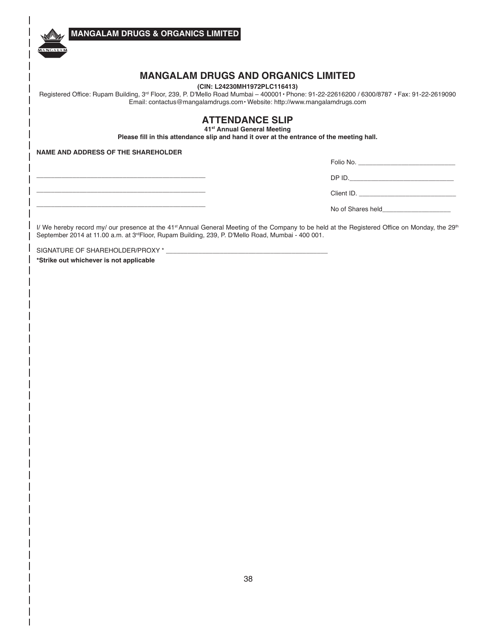**MANGALAM DRUGS & ORGANICS LIMITED**

# **MANGALAM DRUGS AND ORGANICS LIMITED**

**(CIN: L24230MH1972PLC116413)**

Registered Office: Rupam Building, 3<sup>rd</sup> Floor, 239, P. D'Mello Road Mumbai - 400001 · Phone: 91-22-22616200 / 6300/8787 · Fax: 91-22-2619090 Email: contactus@mangalamdrugs.com · Website: http://www.mangalamdrugs.com

### **ATTENDANCE SLIP 41<sup>st</sup> Annual General Meeting**

Please fill in this attendance slip and hand it over at the entrance of the meeting hall.

**NAME AND ADDRESS OF THE SHAREHOLDER**

**\_\_\_\_\_\_\_\_\_\_\_\_\_\_\_\_\_\_\_\_\_\_\_\_\_\_\_\_\_\_\_\_\_\_\_\_\_\_\_\_\_\_\_\_\_\_\_ \_\_\_\_\_\_\_\_\_\_\_\_\_\_\_\_\_\_\_\_\_\_\_\_\_\_\_\_\_\_\_\_\_\_\_\_\_\_\_\_\_\_\_\_\_\_\_ \_\_\_\_\_\_\_\_\_\_\_\_\_\_\_\_\_\_\_\_\_\_\_\_\_\_\_\_\_\_\_\_\_\_\_\_\_\_\_\_\_\_\_\_\_\_\_**

A NGA LA

| Folio No.  |
|------------|
| DP ID.     |
| Client ID. |
|            |

No of Shares held

I/ We hereby record my/ our presence at the 41<sup>st</sup> Annual General Meeting of the Company to be held at the Registered Office on Monday, the 29<sup>th</sup> September 2014 at 11.00 a.m. at 3<sup>rd</sup>Floor, Rupam Building, 239, P. D'Mello Road, Mumbai - 400 001.

SIGNATURE OF SHAREHOLDER/PROXY \*

\*Strike out whichever is not applicable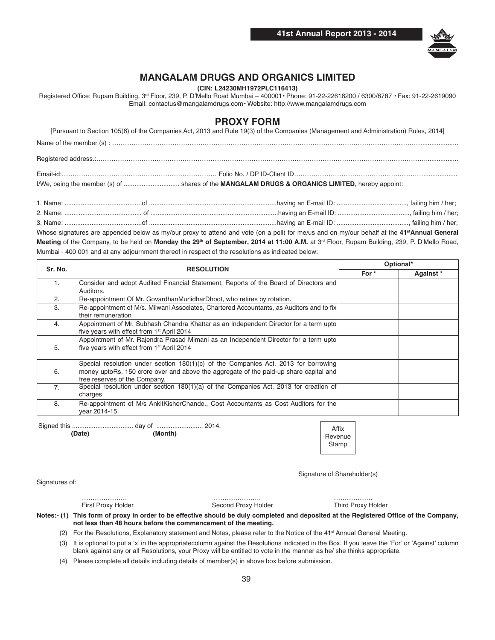

# **MANGALAM DRUGS AND ORGANICS LIMITED**

**(CIN: L24230MH1972PLC116413)**

Registered Office: Rupam Building, 3<sup>rd</sup> Floor, 239, P. D'Mello Road Mumbai - 400001 · Phone: 91-22-22616200 / 6300/8787 · Fax: 91-22-2619090 Email: contactus@mangalamdrugs.com · Website: http://www.mangalamdrugs.com

# **PROXY FORM**

|          | [Pursuant to Section 105(6) of the Companies Act, 2013 and Rule 19(3) of the Companies (Management and Administration) Rules, 2014]                                                                                                                                                                                                                                                                                          |
|----------|------------------------------------------------------------------------------------------------------------------------------------------------------------------------------------------------------------------------------------------------------------------------------------------------------------------------------------------------------------------------------------------------------------------------------|
|          |                                                                                                                                                                                                                                                                                                                                                                                                                              |
|          |                                                                                                                                                                                                                                                                                                                                                                                                                              |
|          |                                                                                                                                                                                                                                                                                                                                                                                                                              |
|          |                                                                                                                                                                                                                                                                                                                                                                                                                              |
| $\cdots$ | $\mathbf{r} = \mathbf{r} = \mathbf{r} = \mathbf{r} = \mathbf{r} = \mathbf{r} = \mathbf{r} = \mathbf{r} = \mathbf{r} = \mathbf{r} = \mathbf{r} = \mathbf{r} = \mathbf{r} = \mathbf{r} = \mathbf{r} = \mathbf{r} = \mathbf{r} = \mathbf{r} = \mathbf{r} = \mathbf{r} = \mathbf{r} = \mathbf{r} = \mathbf{r} = \mathbf{r} = \mathbf{r} = \mathbf{r} = \mathbf{r} = \mathbf{r} = \mathbf{r} = \mathbf{r} = \mathbf{r} = \mathbf$ |

| 1. Name: |                                                                                                                                                          |  |
|----------|----------------------------------------------------------------------------------------------------------------------------------------------------------|--|
|          |                                                                                                                                                          |  |
|          |                                                                                                                                                          |  |
|          | Whose signatures are appended below as my/our proxy to attend and vote (on a poll) for me/us and on my/our behalf at the 41 <sup>st</sup> Annual General |  |

Meeting of the Company, to be held on Monday the 29<sup>th</sup> of September, 2014 at 11:00 A.M. at 3<sup>rd</sup> Floor, Rupam Building, 239, P. D'Mello Road, Mumbai - 400 001 and at any adjournment thereof in respect of the resolutions as indicated below:

| Sr. No.        |                                                                                                                                                                                                                 | Optional* |           |
|----------------|-----------------------------------------------------------------------------------------------------------------------------------------------------------------------------------------------------------------|-----------|-----------|
|                | <b>RESOLUTION</b>                                                                                                                                                                                               | For *     | Against * |
| 1.             | Consider and adopt Audited Financial Statement, Reports of the Board of Directors and<br>Auditors.                                                                                                              |           |           |
| 2.             | Re-appointment Of Mr. GovardhanMurlidharDhoot, who retires by rotation.                                                                                                                                         |           |           |
| 3.             | Re-appointment of M/s. Milwani Associates, Chartered Accountants, as Auditors and to fix<br>their remuneration                                                                                                  |           |           |
| 4.             | Appointment of Mr. Subhash Chandra Khattar as an Independent Director for a term upto<br>five years with effect from 1 <sup>st</sup> April 2014                                                                 |           |           |
| 5.             | Appointment of Mr. Rajendra Prasad Mimani as an Independent Director for a term upto<br>five years with effect from 1 <sup>st</sup> April 2014                                                                  |           |           |
| 6.             | Special resolution under section $180(1)(c)$ of the Companies Act, 2013 for borrowing<br>money uptoRs. 150 crore over and above the aggregate of the paid-up share capital and<br>free reserves of the Company. |           |           |
| 7 <sub>1</sub> | Special resolution under section $180(1)(a)$ of the Companies Act, 2013 for creation of<br>charges.                                                                                                             |           |           |
| 8.             | Re-appointment of M/s AnkitKishorChande., Cost Accountants as Cost Auditors for the<br>vear 2014-15.                                                                                                            |           |           |

Signed this .................................. day of .......................... 2014.

**%%%'J+\$-\*% % % 'X"1\$=\***

Affix Revenue **Stamp** 

Signature of Shareholder(s)

Signatures of:

 ………………… …………………. ……………… First Proxy Holder Second Proxy Holder Notes:- (1) This form of proxy in order to be effective should be duly completed and deposited at the Registered Office of the Company, not less than 48 hours before the commencement of the meeting.

(2) For the Resolutions, Explanatory statement and Notes, please refer to the Notice of the 41<sup>st</sup> Annual General Meeting.

 (3) It is optional to put a 'x' in the appropriatecolumn against the Resolutions indicated in the Box. If you leave the 'For' or 'Against' column blank against any or all Resolutions, your Proxy will be entitled to vote in the manner as he/ she thinks appropriate.

(4) Please complete all details including details of member(s) in above box before submission.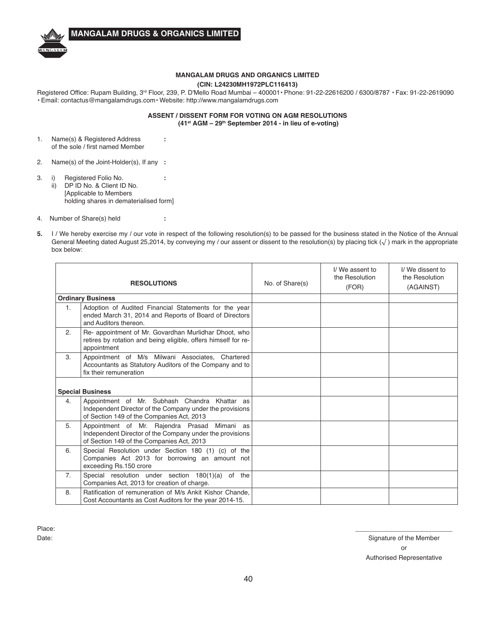

### **MANGALAM DRUGS AND ORGANICS LIMITED**

#### **(CIN: L24230MH1972PLC116413)**

Registered Office: Rupam Building, 3<sup>rd</sup> Floor, 239, P. D'Mello Road Mumbai - 400001 · Phone: 91-22-22616200 / 6300/8787 · Fax: 91-22-2619090 · Email: contactus@mangalamdrugs.com · Website: http://www.mangalamdrugs.com

#### **ASSENT / DISSENT FORM FOR VOTING ON AGM RESOLUTIONS (41<sup>st</sup> AGM - 29<sup>th</sup> September 2014 - in lieu of e-voting)**

- 1. Name(s) & Registered Address **:** of the sole / first named Member
- 2. Name(s) of the Joint-Holder(s), If any **:**
- 3. i) Registered Folio No. **:** ii) DP ID No. & Client ID No. [Applicable to Members holding shares in dematerialised form]
- 4. Number of Share(s) held **:**
- **5.** I / We hereby exercise my / our vote in respect of the following resolution(s) to be passed for the business stated in the Notice of the Annual General Meeting dated August 25,2014, by conveying my / our assent or dissent to the resolution(s) by placing tick ( $\sqrt{}$ ) mark in the appropriate box below:

| <b>RESOLUTIONS</b> |                                                                                                                                                        | No. of Share(s) | I/We assent to<br>the Resolution<br>(FOR) | I/We dissent to<br>the Resolution<br>(AGAINST) |
|--------------------|--------------------------------------------------------------------------------------------------------------------------------------------------------|-----------------|-------------------------------------------|------------------------------------------------|
|                    | <b>Ordinary Business</b>                                                                                                                               |                 |                                           |                                                |
| 1 <sub>1</sub>     | Adoption of Audited Financial Statements for the year<br>ended March 31, 2014 and Reports of Board of Directors<br>and Auditors thereon.               |                 |                                           |                                                |
| 2.                 | Re- appointment of Mr. Govardhan Murlidhar Dhoot, who<br>retires by rotation and being eligible, offers himself for re-<br>appointment                 |                 |                                           |                                                |
| 3.                 | Appointment of M/s Milwani Associates, Chartered<br>Accountants as Statutory Auditors of the Company and to<br>fix their remuneration                  |                 |                                           |                                                |
|                    | <b>Special Business</b>                                                                                                                                |                 |                                           |                                                |
| 4.                 | Appointment of Mr. Subhash Chandra Khattar as<br>Independent Director of the Company under the provisions<br>of Section 149 of the Companies Act, 2013 |                 |                                           |                                                |
| 5.                 | Appointment of Mr. Rajendra Prasad Mimani as<br>Independent Director of the Company under the provisions<br>of Section 149 of the Companies Act, 2013  |                 |                                           |                                                |
| 6.                 | Special Resolution under Section 180 (1) (c) of the<br>Companies Act 2013 for borrowing an amount not<br>exceeding Rs.150 crore                        |                 |                                           |                                                |
| 7 <sub>1</sub>     | Special resolution under section 180(1)(a) of the<br>Companies Act, 2013 for creation of charge.                                                       |                 |                                           |                                                |
| 8.                 | Ratification of remuneration of M/s Ankit Kishor Chande.<br>Cost Accountants as Cost Auditors for the year 2014-15.                                    |                 |                                           |                                                |

Place: \_\_\_\_\_\_\_\_\_\_\_\_\_\_\_\_\_\_\_\_\_\_\_\_\_\_\_

Date: Signature of the Member or and the contract of the contract of the contract of the contract of the contract of the contract of the contract of the contract of the contract of the contract of the contract of the contract of the contract of the con Authorised Representative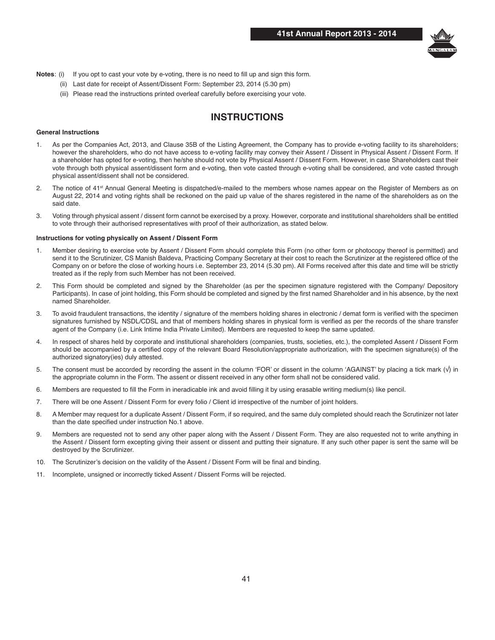

- Notes: (i) If you opt to cast your vote by e-voting, there is no need to fill up and sign this form.
	- (ii) Last date for receipt of Assent/Dissent Form: September 23, 2014 (5.30 pm)
	- (iii) Please read the instructions printed overleaf carefully before exercising your vote.

# **INSTRUCTIONS**

#### **General Instructions**

- 1. As per the Companies Act, 2013, and Clause 35B of the Listing Agreement, the Company has to provide e-voting facility to its shareholders; however the shareholders, who do not have access to e-voting facility may convey their Assent / Dissent in Physical Assent / Dissent Form. If a shareholder has opted for e-voting, then he/she should not vote by Physical Assent / Dissent Form. However, in case Shareholders cast their vote through both physical assent/dissent form and e-voting, then vote casted through e-voting shall be considered, and vote casted through physical assent/dissent shall not be considered.
- 2. The notice of 41<sup>st</sup> Annual General Meeting is dispatched/e-mailed to the members whose names appear on the Register of Members as on August 22, 2014 and voting rights shall be reckoned on the paid up value of the shares registered in the name of the shareholders as on the said date.
- 3. Voting through physical assent / dissent form cannot be exercised by a proxy. However, corporate and institutional shareholders shall be entitled to vote through their authorised representatives with proof of their authorization, as stated below.

#### Instructions for voting physically on Assent / Dissent Form

- 1. Member desiring to exercise vote by Assent / Dissent Form should complete this Form (no other form or photocopy thereof is permitted) and send it to the Scrutinizer, CS Manish Baldeva, Practicing Company Secretary at their cost to reach the Scrutinizer at the registered office of the Company on or before the close of working hours i.e. September 23, 2014 (5.30 pm). All Forms received after this date and time will be strictly treated as if the reply from such Member has not been received.
- 2. This Form should be completed and signed by the Shareholder (as per the specimen signature registered with the Company/ Depository Participants). In case of joint holding, this Form should be completed and signed by the first named Shareholder and in his absence, by the next named Shareholder.
- 3. To avoid fraudulent transactions, the identity / signature of the members holding shares in electronic / demat form is verified with the specimen signatures furnished by NSDL/CDSL and that of members holding shares in physical form is verified as per the records of the share transfer agent of the Company (i.e. Link Intime India Private Limited). Members are requested to keep the same updated.
- 4. In respect of shares held by corporate and institutional shareholders (companies, trusts, societies, etc.), the completed Assent / Dissent Form should be accompanied by a certified copy of the relevant Board Resolution/appropriate authorization, with the specimen signature(s) of the authorized signatory(ies) duly attested.
- 5. The consent must be accorded by recording the assent in the column 'FOR' or dissent in the column 'AGAINST' by placing a tick mark  $(\sqrt)$  in the appropriate column in the Form. The assent or dissent received in any other form shall not be considered valid.
- 6. Members are requested to fill the Form in ineradicable ink and avoid filling it by using erasable writing medium(s) like pencil.
- 7. There will be one Assent / Dissent Form for every folio / Client id irrespective of the number of joint holders.
- 8. A Member may request for a duplicate Assent / Dissent Form, if so required, and the same duly completed should reach the Scrutinizer not later than the date specified under instruction No.1 above.
- 9. Members are requested not to send any other paper along with the Assent / Dissent Form. They are also requested not to write anything in the Assent / Dissent form excepting giving their assent or dissent and putting their signature. If any such other paper is sent the same will be destroyed by the Scrutinizer.
- 10. The Scrutinizer's decision on the validity of the Assent / Dissent Form will be final and binding.
- 11. Incomplete, unsigned or incorrectly ticked Assent / Dissent Forms will be rejected.